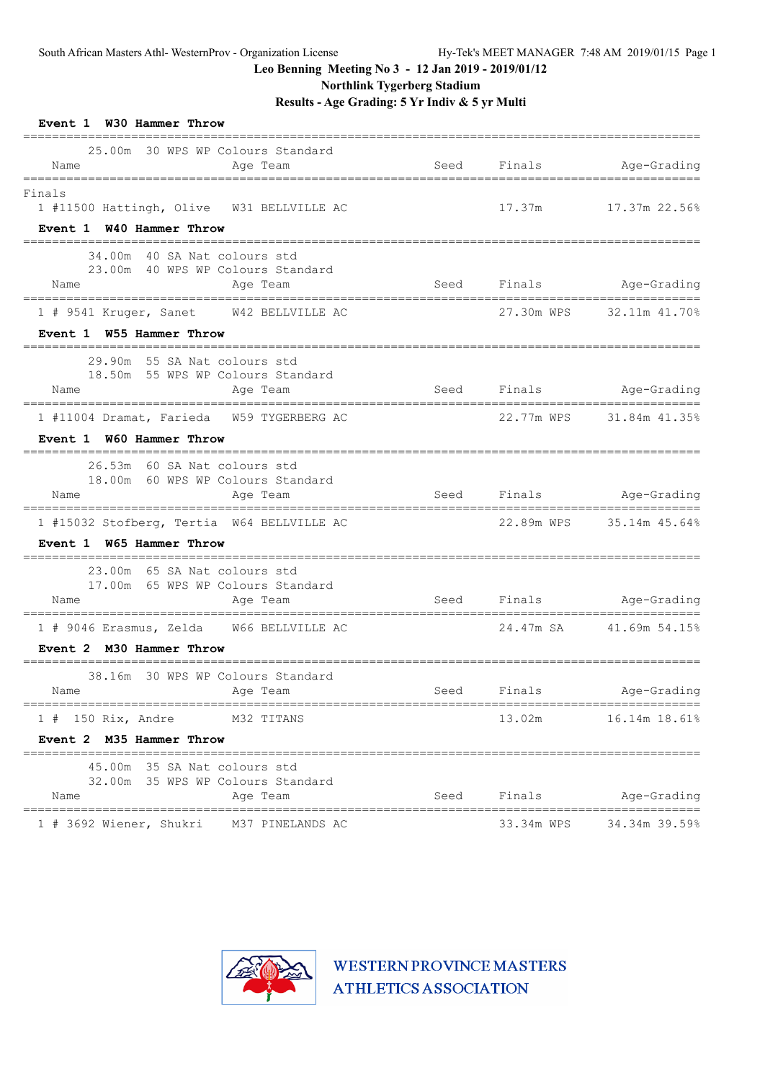**Northlink Tygerberg Stadium**

**Results - Age Grading: 5 Yr Indiv & 5 yr Multi**

| Event 1 W30 Hammer Throw                                                                                                                                                                                                                                                    |      |             |                          |
|-----------------------------------------------------------------------------------------------------------------------------------------------------------------------------------------------------------------------------------------------------------------------------|------|-------------|--------------------------|
| 25.00m 30 WPS WP Colours Standard<br>Name<br>Age Team<br>========================                                                                                                                                                                                           | Seed | Finals      | Age-Grading              |
| Finals<br>1 #11500 Hattingh, Olive W31 BELLVILLE AC                                                                                                                                                                                                                         |      |             | 17.37m 17.37m 22.56%     |
| Event 1 W40 Hammer Throw<br>---------------                                                                                                                                                                                                                                 |      |             |                          |
| 34.00m 40 SA Nat colours std<br>23.00m 40 WPS WP Colours Standard<br>Age Team<br>Name                                                                                                                                                                                       |      |             | Seed Finals Age-Grading  |
| 1 # 9541 Kruger, Sanet W42 BELLVILLE AC                                                                                                                                                                                                                                     |      | 27.30m WPS  | 32.11m 41.70%            |
| Event 1 W55 Hammer Throw                                                                                                                                                                                                                                                    |      |             |                          |
| 29.90m 55 SA Nat colours std<br>18.50m 55 WPS WP Colours Standard<br>Name                                                                                                                                                                                                   |      |             | Seed Finals Age-Grading  |
| Age Team                                                                                                                                                                                                                                                                    |      |             |                          |
| 1 #11004 Dramat, Farieda W59 TYGERBERG AC<br>Event 1 W60 Hammer Throw                                                                                                                                                                                                       |      |             | 22,77m WPS 31,84m 41,35% |
| 26.53m 60 SA Nat colours std<br>18.00m 60 WPS WP Colours Standard<br>Age Team<br>Name                                                                                                                                                                                       |      |             | Seed Finals Age-Grading  |
| 1 #15032 Stofberg, Tertia W64 BELLVILLE AC<br>Event 1 W65 Hammer Throw                                                                                                                                                                                                      |      |             | 22.89m WPS 35.14m 45.64% |
| 23.00m 65 SA Nat colours std<br>17.00m 65 WPS WP Colours Standard<br>Age Team<br>Name                                                                                                                                                                                       |      |             | Seed Finals Age-Grading  |
| 1 # 9046 Erasmus, Zelda W66 BELLVILLE AC<br>Event 2 M30 Hammer Throw                                                                                                                                                                                                        |      |             | 24.47m SA 41.69m 54.15%  |
| 38.16m 30 WPS WP Colours Standard<br>Name<br>and the contract of the contract of the contract of the contract of the contract of the contract of the contract of the contract of the contract of the contract of the contract of the contract of the contract of the contra |      | Seed Finals | Age-Grading              |
| 1 # 150 Rix, Andre M32 TITANS<br>Event 2 M35 Hammer Throw                                                                                                                                                                                                                   |      |             | 13.02m 16.14m 18.61%     |
| 45.00m 35 SA Nat colours std<br>32.00m 35 WPS WP Colours Standard<br>Age Team<br>Name                                                                                                                                                                                       |      | Seed Finals | Age-Grading              |
| 1 # 3692 Wiener, Shukri M37 PINELANDS AC                                                                                                                                                                                                                                    |      |             | 33.34m WPS 34.34m 39.59% |

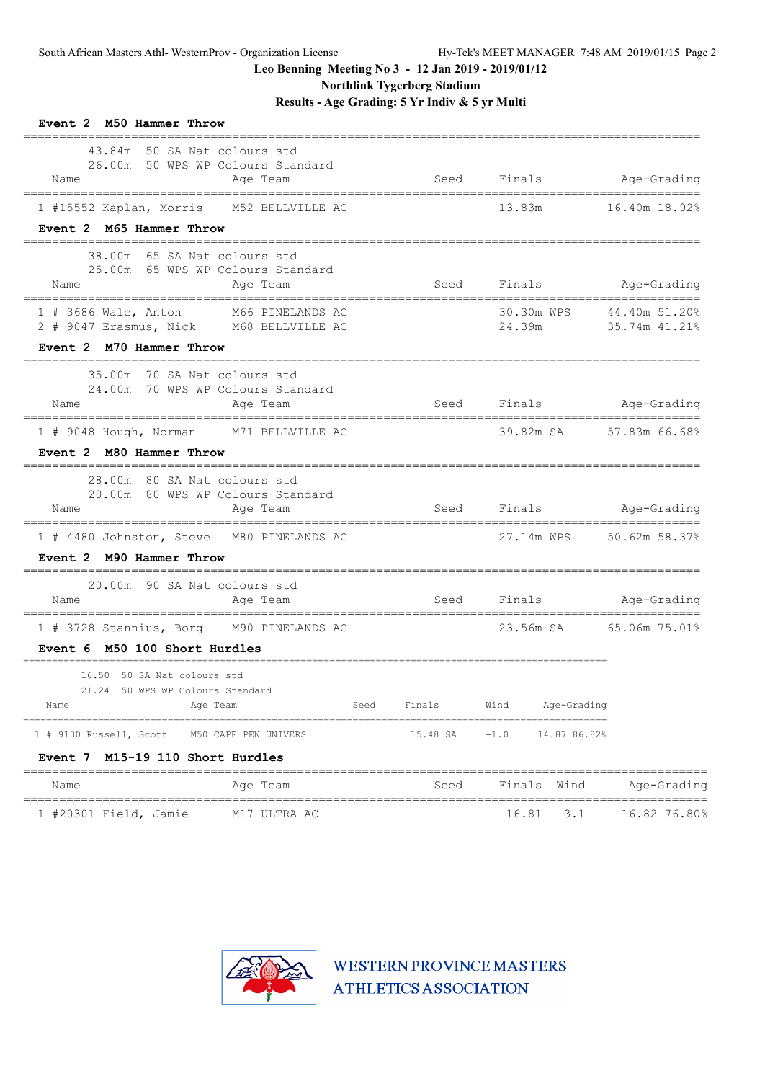**Northlink Tygerberg Stadium**

**Results - Age Grading: 5 Yr Indiv & 5 yr Multi**

| Event 2 M50 Hammer Throw                                                                                   |                      |          |                         |                                |
|------------------------------------------------------------------------------------------------------------|----------------------|----------|-------------------------|--------------------------------|
| 43.84m 50 SA Nat colours std<br>26.00m 50 WPS WP Colours Standard<br>Name                                  | Age Team             | Seed     | Finals Age-Grading      |                                |
| 1 #15552 Kaplan, Morris M52 BELLVILLE AC                                                                   |                      |          | 13.83m                  | 16.40m 18.92%                  |
| Event 2 M65 Hammer Throw                                                                                   |                      |          |                         | ================               |
| 38.00m 65 SA Nat colours std<br>25.00m 65 WPS WP Colours Standard<br>Name                                  | Age Team             | Seed     | Finals                  | Age-Grading                    |
| $1$ # 3686 Wale, Anton<br>2 # 9047 Erasmus, Nick M68 BELLVILLE AC                                          | M66 PINELANDS AC     |          | 30.30m WPS<br>24.39m    | 44.40m 51.20%<br>35.74m 41.21% |
| Event 2 M70 Hammer Throw                                                                                   |                      |          |                         |                                |
| 35.00m 70 SA Nat colours std<br>24.00m 70 WPS WP Colours Standard<br>Name                                  | Age Team             |          | Seed Finals             | Age-Grading                    |
| 1 # 9048 Hough, Norman M71 BELLVILLE AC                                                                    |                      |          | 39.82m SA 57.83m 66.68% |                                |
| Event 2 M80 Hammer Throw                                                                                   |                      |          |                         |                                |
| 28.00m 80 SA Nat colours std<br>20.00m 80 WPS WP Colours Standard<br>Name                                  | Age Team             |          | Seed Finals Age-Grading |                                |
| ---------------------------------<br>1 # 4480 Johnston, Steve M80 PINELANDS AC<br>Event 2 M90 Hammer Throw |                      |          | 27.14m WPS              | 50.62m 58.37%                  |
|                                                                                                            |                      |          |                         |                                |
| 20.00m 90 SA Nat colours std<br>Name<br>======================================                             | Age Team             |          | Seed Finals             | Age-Grading                    |
| 1 # 3728 Stannius, Borg M90 PINELANDS AC<br>Event 6 M50 100 Short Hurdles                                  |                      |          | 23.56m SA               | 65.06m 75.01%                  |
|                                                                                                            |                      |          |                         |                                |
| 16.50 50 SA Nat colours std<br>21.24 50 WPS WP Colours Standard<br>Age Team<br>Name                        | Seed                 | Finals   | Wind<br>Age-Grading     |                                |
| 1 # 9130 Russell, Scott                                                                                    | M50 CAPE PEN UNIVERS | 15.48 SA | $-1.0$<br>14.87 86.82%  |                                |
| Event 7 M15-19 110 Short Hurdles<br>Name                                                                   | Age Team             | Seed     | Finals<br>Wind          | Age-Grading                    |
| 1 #20301 Field, Jamie                                                                                      | M17 ULTRA AC         |          | 16.81<br>3.1            | 16.82 76.80%                   |

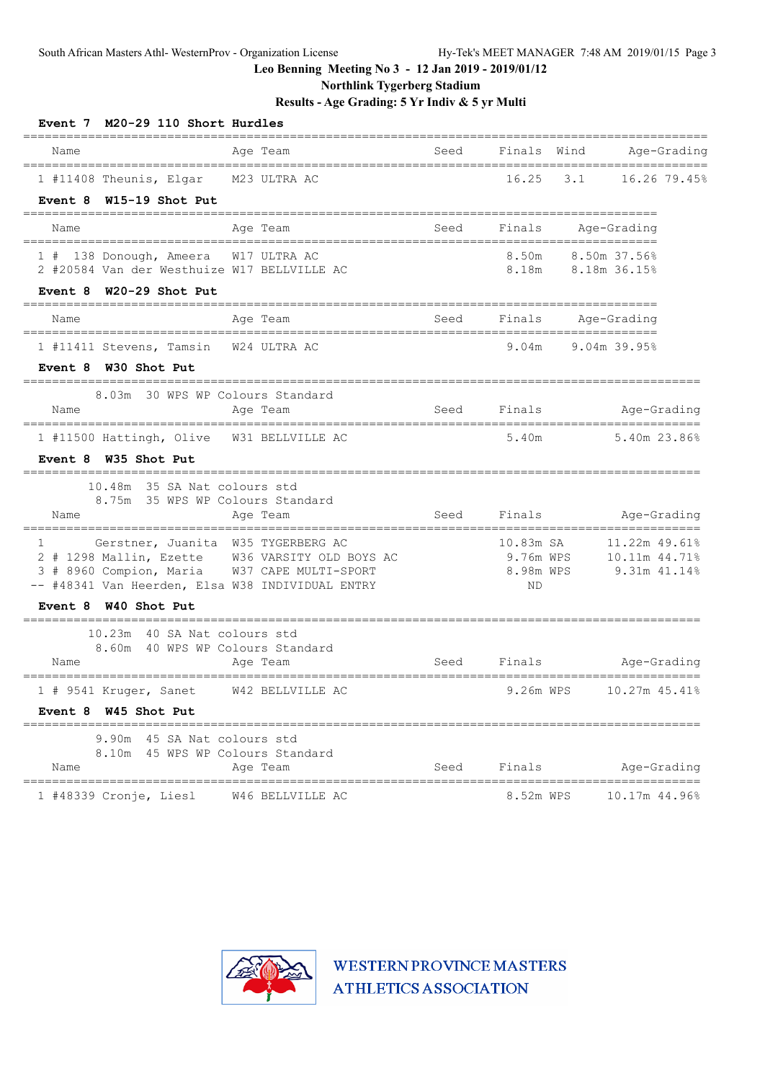**Northlink Tygerberg Stadium**

**Results - Age Grading: 5 Yr Indiv & 5 yr Multi**

| Event 7 M20-29 110 Short Hurdles                                                                                                                                                                          |                                                |                                           |                                                                        |              |
|-----------------------------------------------------------------------------------------------------------------------------------------------------------------------------------------------------------|------------------------------------------------|-------------------------------------------|------------------------------------------------------------------------|--------------|
| Age Team<br>Name                                                                                                                                                                                          | Seed                                           | Finals                                    | Wind<br>===================                                            | Age-Grading  |
| 1 #11408 Theunis, Elgar M23 ULTRA AC<br>Event 8 W15-19 Shot Put                                                                                                                                           |                                                | 16.25                                     | 3.1                                                                    | 16.26 79.45% |
| Age Team<br>Name                                                                                                                                                                                          | Seed                                           | Finals                                    | Age-Grading                                                            |              |
| 1 # 138 Donough, Ameera W17 ULTRA AC<br>2 #20584 Van der Westhuize W17 BELLVILLE AC                                                                                                                       |                                                | 8.50m                                     | 8.50m 37.56%<br>8.18m 8.18m 36.15%                                     |              |
| Event 8 W20-29 Shot Put<br>________________________                                                                                                                                                       |                                                |                                           |                                                                        |              |
| Age Team<br>Name                                                                                                                                                                                          | Seed                                           | Finals                                    | Age-Grading                                                            |              |
| 1 #11411 Stevens, Tamsin<br>W24 ULTRA AC<br>Event 8 W30 Shot Put                                                                                                                                          |                                                | 9.04m                                     | 9.04m 39.95%                                                           |              |
| 8.03m 30 WPS WP Colours Standard<br>Name<br>Age Team                                                                                                                                                      | Seed<br>====================================== | Finals                                    | ======================                                                 | Age-Grading  |
| 1 #11500 Hattingh, Olive<br>W31 BELLVILLE AC<br>Event 8 W35 Shot Put                                                                                                                                      |                                                | 5.40m                                     |                                                                        | 5.40m 23.86% |
| 10.48m 35 SA Nat colours std<br>8.75m 35 WPS WP Colours Standard<br>Age Team<br>Name                                                                                                                      | Seed                                           | Finals                                    |                                                                        | Age-Grading  |
| Gerstner, Juanita W35 TYGERBERG AC<br>$\mathbf{1}$<br>2 # 1298 Mallin, Ezette W36 VARSITY OLD BOYS AC<br>3 # 8960 Compion, Maria W37 CAPE MULTI-SPORT<br>-- #48341 Van Heerden, Elsa W38 INDIVIDUAL ENTRY |                                                | 10.83m SA<br>9.76m WPS<br>8.98m WPS<br>ΝD | --------------------<br>11.22m 49.61%<br>10.11m 44.71%<br>9.31m 41.14% |              |
| Event 8 W40 Shot Put                                                                                                                                                                                      |                                                |                                           |                                                                        |              |
| 10.23m 40 SA Nat colours std<br>8.60m 40 WPS WP Colours Standard<br>Name<br>Age Team                                                                                                                      | Seed                                           | Finals                                    |                                                                        | Age-Grading  |
| 1 # 9541 Kruger, Sanet<br>W42 BELLVILLE AC                                                                                                                                                                |                                                | 9.26m WPS                                 | 10.27m 45.41%                                                          |              |
| Event 8 W45 Shot Put                                                                                                                                                                                      |                                                |                                           |                                                                        |              |
| 45 SA Nat colours std<br>9.90m<br>8.10m 45 WPS WP Colours Standard<br>Name<br>Age Team                                                                                                                    | Seed                                           | Finals                                    |                                                                        | Age-Grading  |
| =================================<br>1 #48339 Cronje, Liesl<br>W46 BELLVILLE AC                                                                                                                           | ======================                         | =========<br>8.52m WPS                    | ------------------<br>10.17m 44.96%                                    |              |

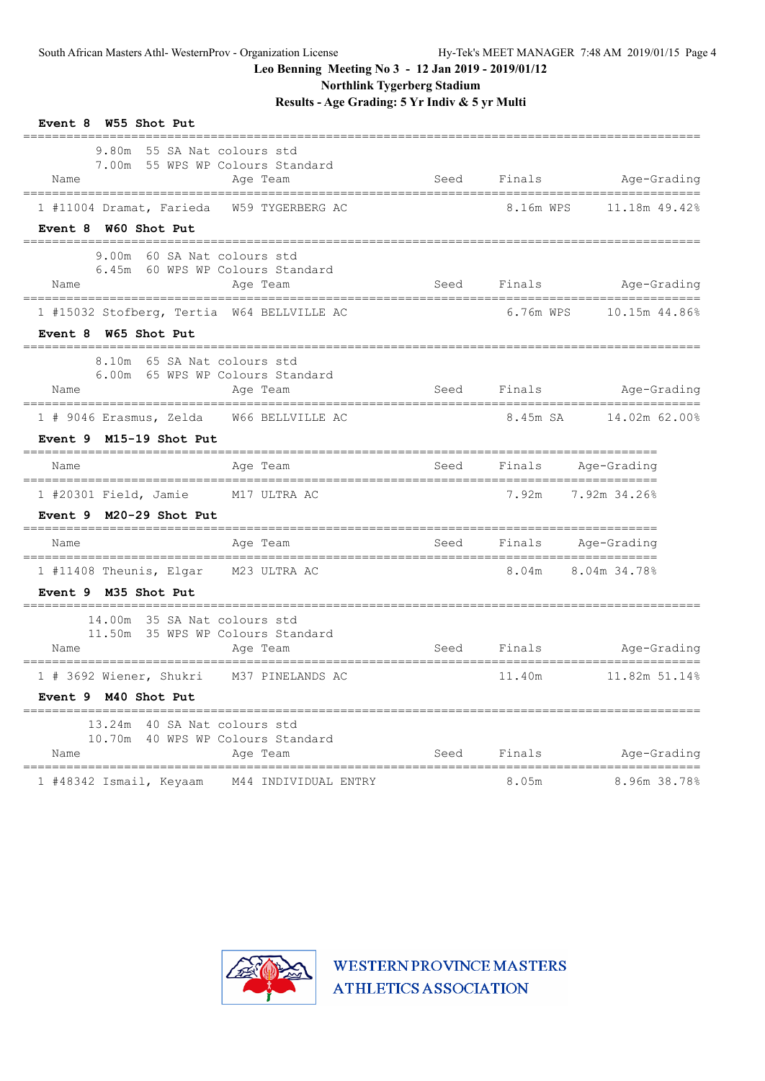**Northlink Tygerberg Stadium**

**Results - Age Grading: 5 Yr Indiv & 5 yr Multi**

| Event 8 W55 Shot Put                                                                                  |               |           |                                           |
|-------------------------------------------------------------------------------------------------------|---------------|-----------|-------------------------------------------|
| 9.80m 55 SA Nat colours std<br>7.00m 55 WPS WP Colours Standard<br>Name<br>Age Team                   | Seed          | Finals    | Age-Grading                               |
| W59 TYGERBERG AC<br>1 #11004 Dramat, Farieda<br>Event 8 W60 Shot Put                                  |               | 8.16m WPS | 11.18m 49.42%                             |
| 9.00m<br>60 SA Nat colours std<br>6.45m 60 WPS WP Colours Standard<br>Name<br>Age Team                | Seed          | Finals    | Age-Grading                               |
| 1 #15032 Stofberg, Tertia W64 BELLVILLE AC<br>Event 8 W65 Shot Put                                    |               | 6.76m WPS | 10.15m 44.86%                             |
| 65 SA Nat colours std<br>8.10m<br>6.00m 65 WPS WP Colours Standard<br>Age Team<br>Name                | Seed          | Finals    | Age-Grading                               |
| W66 BELLVILLE AC<br>$1$ # 9046 Erasmus, Zelda<br>Event 9 M15-19 Shot Put                              |               | 8.45m SA  | 14.02m 62.00%                             |
| Age Team<br>Name                                                                                      | Seed          | Finals    | Age-Grading                               |
| 1 #20301 Field, Jamie M17 ULTRA AC<br>Event $9$ M20-29 Shot Put                                       |               | 7.92m     | 7.92m 34.26%                              |
| Age Team<br>Name                                                                                      | Seed          | Finals    | Age-Grading                               |
| 1 #11408 Theunis, Elgar<br>M23 ULTRA AC<br>Event 9 M35 Shot Put                                       |               | 8.04m     | 8.04m 34.78%                              |
| ============<br>14.00m 35 SA Nat colours std<br>11.50m 35 WPS WP Colours Standard<br>Name<br>Age Team | Seed          | Finals    | Age-Grading                               |
| 1 # 3692 Wiener, Shukri M37 PINELANDS AC<br>Event 9 M40 Shot Put                                      |               | 11.40m    | 11.82m 51.14%                             |
| 13.24m 40 SA Nat colours std<br>40 WPS WP Colours Standard<br>10.70m<br>Name<br>Age Team              | Seed          | Finals    | Age-Grading                               |
| ============<br>1 #48342 Ismail, Keyaam<br>M44 INDIVIDUAL ENTRY                                       | ============= | 8.05m     | =========================<br>8.96m 38.78% |

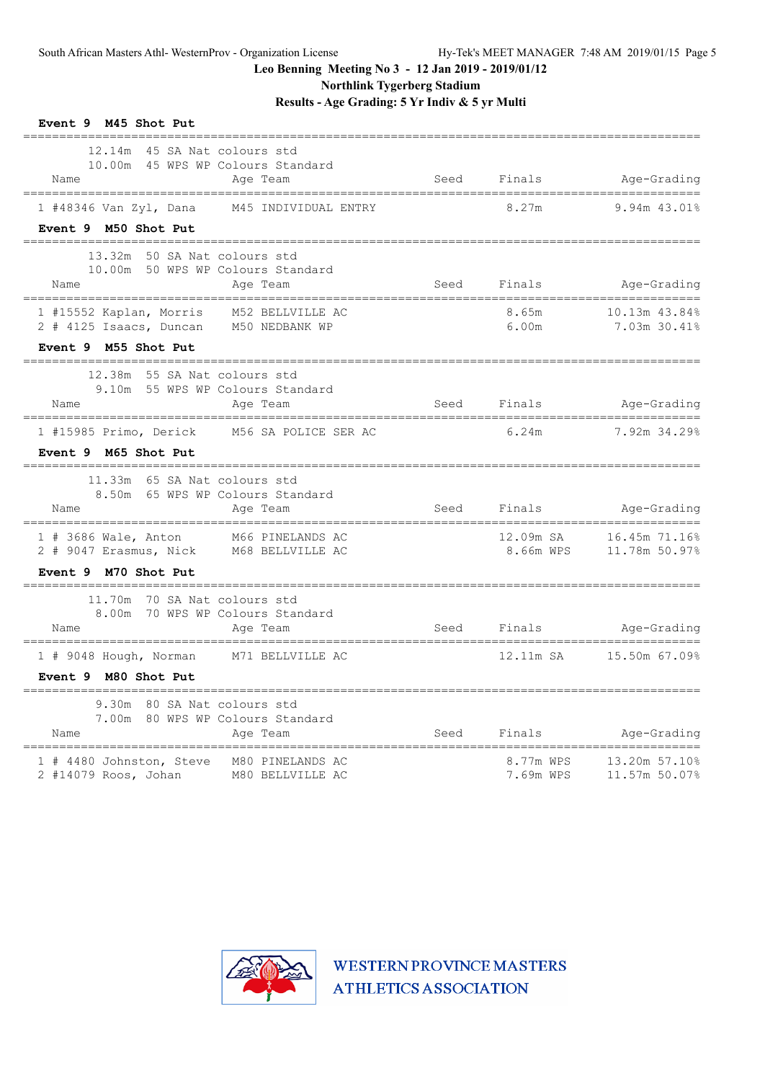**Northlink Tygerberg Stadium**

**Results - Age Grading: 5 Yr Indiv & 5 yr Multi**

| Event 9 M45 Shot Put                                                                                                                                          |      |                        |                                                    |
|---------------------------------------------------------------------------------------------------------------------------------------------------------------|------|------------------------|----------------------------------------------------|
| 12.14m 45 SA Nat colours std<br>10.00m 45 WPS WP Colours Standard<br>Name<br>Age Team<br>-----------------------------------<br>----------------------------- |      |                        | Seed Finals Age-Grading<br>_______________________ |
| 1 #48346 Van Zyl, Dana M45 INDIVIDUAL ENTRY<br>Event 9 M50 Shot Put                                                                                           |      | 8.27m                  | 9.94m 43.01%                                       |
| 13.32m 50 SA Nat colours std<br>10.00m 50 WPS WP Colours Standard<br>Name<br>Age Team<br>======================================                               |      |                        | Seed Finals Age-Grading                            |
| 1 #15552 Kaplan, Morris M52 BELLVILLE AC<br>2 # 4125 Isaacs, Duncan M50 NEDBANK WP<br>Event 9 M55 Shot Put                                                    |      | 8.65m<br>6.00m         | 10.13m 43.84%<br>7.03m 30.41%                      |
| =============<br>12.38m 55 SA Nat colours std<br>9.10m 55 WPS WP Colours Standard<br>Name<br>Age Team                                                         | Seed |                        | Finals Age-Grading                                 |
| 1 #15985 Primo, Derick M56 SA POLICE SER AC<br>Event 9 M65 Shot Put                                                                                           |      | 6.24m                  | 7.92m 34.29%                                       |
| 11.33m 65 SA Nat colours std<br>8.50m 65 WPS WP Colours Standard<br>Name<br>Age Team                                                                          |      | Seed Finals            | Age-Grading                                        |
| 1 # 3686 Wale, Anton M66 PINELANDS AC<br>2 # 9047 Erasmus, Nick M68 BELLVILLE AC<br>Event 9 M70 Shot Put                                                      |      | 12.09m SA<br>8.66m WPS | 16.45m 71.16%<br>11.78m 50.97%                     |
| 11.70m 70 SA Nat colours std<br>8.00m 70 WPS WP Colours Standard<br>Name<br>Age Team<br>------------------------------------                                  | Seed | Finals                 | Age-Grading                                        |
| 1 # 9048 Hough, Norman M71 BELLVILLE AC<br>Event 9 M80 Shot Put                                                                                               |      | 12.11m SA              | 15.50m 67.09%                                      |
| 9.30m 80 SA Nat colours std<br>7.00m 80 WPS WP Colours Standard<br>Name<br>Age Team<br>====================================                                   | Seed | Finals                 | Age-Grading                                        |
| 1 # 4480 Johnston, Steve M80 PINELANDS AC<br>2 #14079 Roos, Johan M80 BELLVILLE AC                                                                            |      | 8.77m WPS<br>7.69m WPS | 13.20m 57.10%<br>11.57m 50.07%                     |

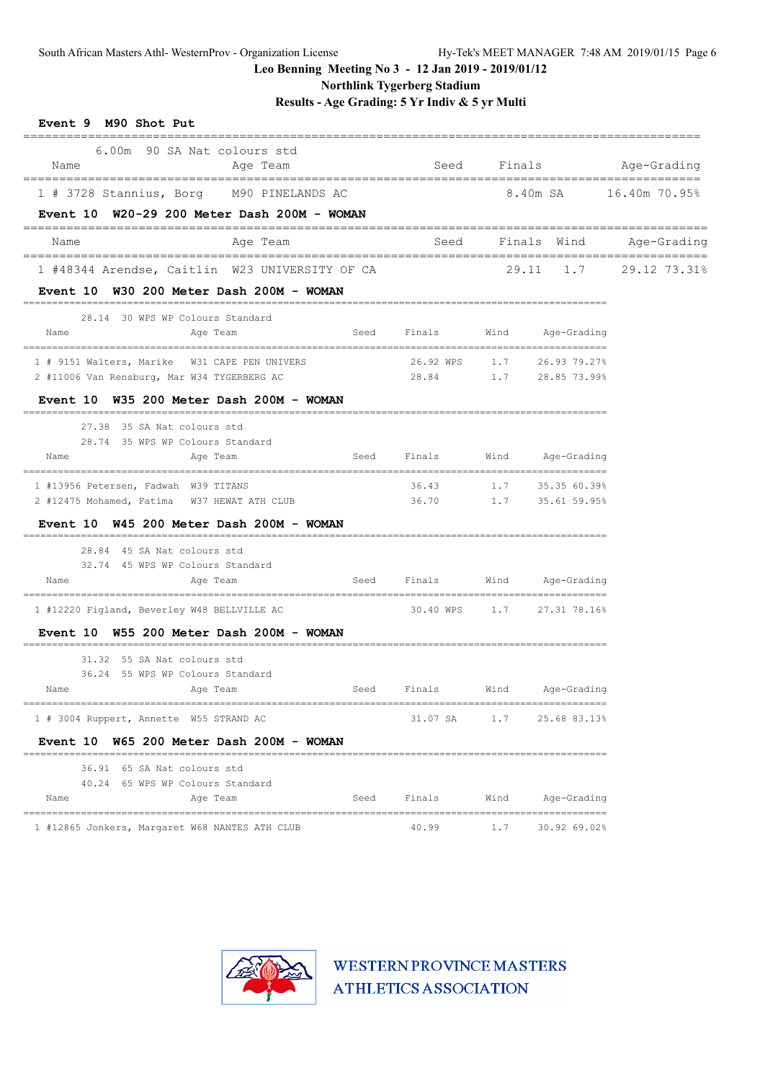**Northlink Tygerberg Stadium**

**Results - Age Grading: 5 Yr Indiv & 5 yr Multi**

| Event 9 M90 Shot Put<br>=================== |                                                                             |      |                                  |                        |                            |                              |
|---------------------------------------------|-----------------------------------------------------------------------------|------|----------------------------------|------------------------|----------------------------|------------------------------|
| Name                                        | 6.00m 90 SA Nat colours std<br>Age Team                                     |      |                                  |                        |                            | Seed Finals Age-Grading      |
|                                             | 1 # 3728 Stannius, Borg M90 PINELANDS AC                                    |      |                                  | 8.40m SA 16.40m 70.95% |                            |                              |
|                                             | Event $10$ W20-29 200 Meter Dash 200M - WOMAN                               |      |                                  |                        |                            |                              |
| Name                                        | Age Team                                                                    |      |                                  |                        |                            | Seed Finals Wind Age-Grading |
|                                             | 1 #48344 Arendse, Caitlin W23 UNIVERSITY OF CA                              |      |                                  |                        |                            | 29.11 1.7 29.12 73.31%       |
|                                             | Event 10 W30 200 Meter Dash 200M - WOMAN                                    |      |                                  |                        |                            |                              |
|                                             | 28.14 30 WPS WP Colours Standard                                            |      |                                  |                        |                            |                              |
| Name                                        | Age Team                                                                    | Seed | Finals                           | Wind                   | Age-Grading                |                              |
|                                             | 1 # 9151 Walters, Marike W31 CAPE PEN UNIVERS                               |      | $26.92$ WPS $1.7$ $26.93$ 79.27% |                        |                            |                              |
|                                             | 2 #11006 Van Rensburg, Mar W34 TYGERBERG AC                                 |      | 28.84                            |                        | $1.7$ 28.85 73.99%         |                              |
|                                             | Event 10 W35 200 Meter Dash 200M - WOMAN                                    |      |                                  |                        |                            |                              |
|                                             | 27.38 35 SA Nat colours std                                                 |      |                                  |                        |                            |                              |
|                                             | 28.74 35 WPS WP Colours Standard                                            |      |                                  |                        |                            |                              |
| Name                                        | Age Team                                                                    | Seed | Finals                           | Wind                   | Age-Grading                |                              |
| 1 #13956 Petersen, Fadwah W39 TITANS        |                                                                             |      |                                  |                        | 36.43 1.7 35.35 60.39%     |                              |
|                                             | 2 #12475 Mohamed, Fatima W37 HEWAT ATH CLUB                                 |      |                                  |                        | 36.70 1.7 35.61 59.95%     |                              |
|                                             | Event 10 W45 200 Meter Dash 200M - WOMAN<br>_______________________________ |      |                                  |                        |                            |                              |
|                                             | 28.84 45 SA Nat colours std                                                 |      |                                  |                        |                            |                              |
| Name                                        | 32.74 45 WPS WP Colours Standard<br>Age Team                                | Seed | Finals                           |                        | Wind Age-Grading           |                              |
|                                             |                                                                             |      |                                  |                        |                            |                              |
|                                             | 1 #12220 Figland, Beverley W48 BELLVILLE AC                                 |      |                                  |                        | 30.40 WPS 1.7 27.31 78.16% |                              |
|                                             | Event 10 W55 200 Meter Dash 200M - WOMAN                                    |      |                                  |                        |                            |                              |
|                                             | 31.32 55 SA Nat colours std                                                 |      |                                  |                        |                            |                              |
|                                             | 36.24 55 WPS WP Colours Standard                                            |      |                                  |                        |                            |                              |
| Name                                        | Age Team                                                                    |      | Seed Finals                      |                        | Wind Age-Grading           |                              |
|                                             | 1 # 3004 Ruppert, Annette W55 STRAND AC                                     |      | 31.07 SA                         | 1.7                    | 25.68 83.13%               |                              |
|                                             | Event 10 W65 200 Meter Dash 200M - WOMAN                                    |      |                                  |                        |                            |                              |
|                                             | 36.91 65 SA Nat colours std                                                 |      |                                  |                        |                            |                              |
|                                             | 40.24 65 WPS WP Colours Standard                                            |      |                                  |                        |                            |                              |
| Name                                        | Age Team                                                                    | Seed | Finals                           | Wind                   | Age-Grading                |                              |
|                                             | 1 #12865 Jonkers, Margaret W68 NANTES ATH CLUB                              |      | 40.99                            | 1.7                    | 30.92 69.02%               |                              |

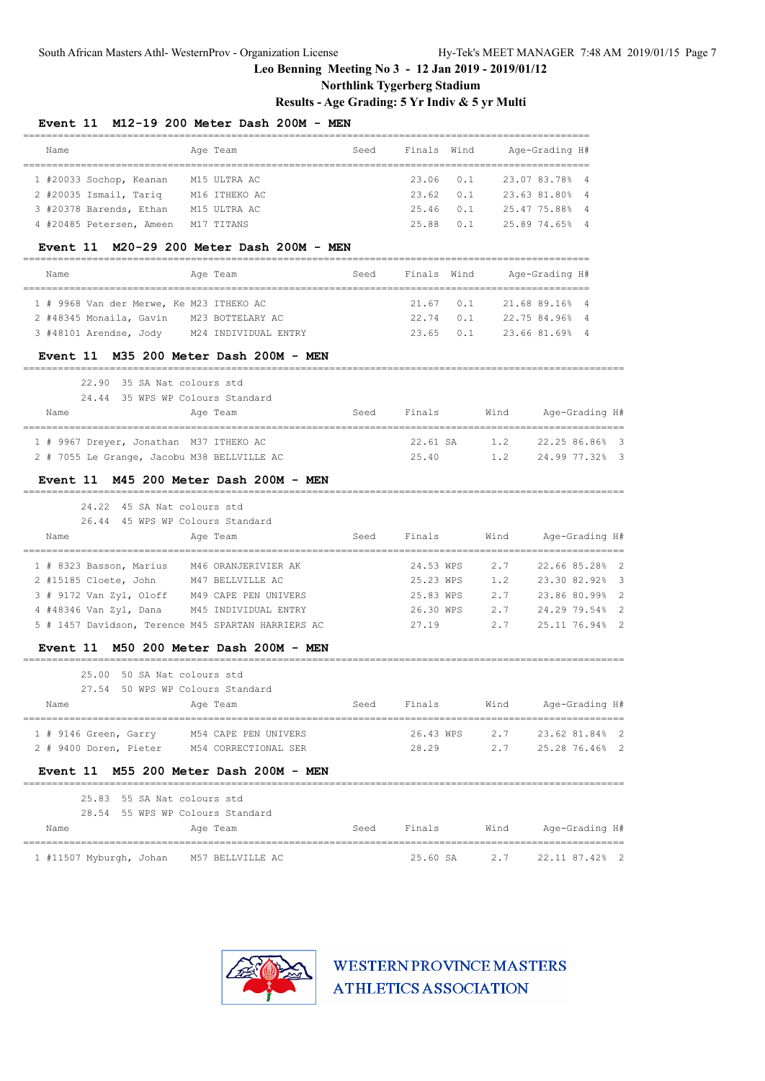South African Masters Athl- WesternProv - Organization License Hy-Tek's MEET MANAGER 7:48 AM 2019/01/15 Page 7

# **Leo Benning Meeting No 3 - 12 Jan 2019 - 2019/01/12**

# **Northlink Tygerberg Stadium**

# **Results - Age Grading: 5 Yr Indiv & 5 yr Multi**

| Name                                                 | Age Team                                            | Seed | Finals      | Wind |      | Age-Grading H#                                          |   |
|------------------------------------------------------|-----------------------------------------------------|------|-------------|------|------|---------------------------------------------------------|---|
| =========================<br>1 #20033 Sochop, Keanan | M15 ULTRA AC                                        |      | 23.06       | 0.1  |      | ==================================<br>23.07 83.78%<br>4 |   |
| 2 #20035 Ismail, Tariq                               | M16 ITHEKO AC                                       |      | 23.62       | 0.1  |      | 23.63 81.80%<br>4                                       |   |
| 3 #20378 Barends, Ethan M15 ULTRA AC                 |                                                     |      | 25.46       | 0.1  |      | 25.47 75.88%<br>4                                       |   |
| 4 #20485 Petersen, Ameen                             | M17 TITANS                                          |      | 25.88       | 0.1  |      | 25.89 74.65%<br>- 4                                     |   |
|                                                      | Event 11 M20-29 200 Meter Dash 200M - MEN           |      |             |      |      |                                                         |   |
| Name                                                 | Age Team                                            | Seed | Finals Wind |      |      | Age-Grading H#                                          |   |
| 1 # 9968 Van der Merwe, Ke M23 ITHEKO AC             |                                                     |      | 21.67       | 0.1  |      | 21.68 89.16%<br>- 4                                     |   |
| 2 #48345 Monaila, Gavin                              | M23 BOTTELARY AC                                    |      | 22.74       | 0.1  |      | 22.75 84.96%<br>$\overline{4}$                          |   |
| 3 #48101 Arendse, Jody M24 INDIVIDUAL ENTRY          |                                                     |      | 23.65       | 0.1  |      | 23.66 81.69%<br>- 4                                     |   |
|                                                      | Event 11 M35 200 Meter Dash 200M - MEN              |      |             |      |      |                                                         |   |
| 22.90                                                | 35 SA Nat colours std                               |      |             |      |      |                                                         |   |
| 24.44 35 WPS WP Colours Standard<br>Name             | Age Team                                            | Seed | Finals      |      | Wind | Age-Grading H#                                          |   |
| 1 # 9967 Dreyer, Jonathan M37 ITHEKO AC              |                                                     |      | $22.61$ SA  |      | 1.2  | _________________________________<br>22.25 86.86%       | 3 |
| 2 # 7055 Le Grange, Jacobu M38 BELLVILLE AC          |                                                     |      | 25.40       |      | 1.2  | 24.99 77.32% 3                                          |   |
| 24.22 45 SA Nat colours std                          | Event 11 M45 200 Meter Dash 200M - MEN              |      |             |      |      |                                                         |   |
| 26.44 45 WPS WP Colours Standard                     |                                                     |      |             |      |      |                                                         |   |
| Name                                                 | Age Team                                            | Seed | Finals      |      | Wind | Age-Grading H#                                          |   |
| 1 # 8323 Basson, Marius                              | M46 ORANJERIVIER AK                                 |      | 24.53 WPS   |      | 2.7  | 22.66 85.28%                                            | 2 |
| 2 #15185 Cloete, John                                | M47 BELLVILLE AC                                    |      | 25.23 WPS   |      | 1.2  | 23.30 82.92%                                            | 3 |
| 3 # 9172 Van Zyl, Oloff                              | M49 CAPE PEN UNIVERS                                |      | 25.83 WPS   |      | 2.7  | 23.86 80.99%                                            | 2 |
| 4 #48346 Van Zyl, Dana                               | M45 INDIVIDUAL ENTRY                                |      | 26.30 WPS   |      | 2.7  | 24.29 79.54%                                            | 2 |
|                                                      | 5 # 1457 Davidson, Terence M45 SPARTAN HARRIERS AC  |      | 27.19       |      | 2.7  | 25.11 76.94%                                            | 2 |
| <b>Event 11</b>                                      | M50 200 Meter Dash 200M - MEN                       |      |             |      |      |                                                         |   |
| 25.00<br>27.54                                       | 50 SA Nat colours std<br>50 WPS WP Colours Standard |      |             |      |      |                                                         |   |
| Name                                                 | Age Team                                            |      | Seed Finals |      |      | Wind Age-Grading H#                                     |   |
| 1 # 9146 Green, Garry M54 CAPE PEN UNIVERS           |                                                     |      |             |      |      | 26.43 WPS 2.7 23.62 81.84% 2                            |   |
| 2 # 9400 Doren, Pieter M54 CORRECTIONAL SER          |                                                     |      |             |      |      | 28.29 2.7 25.28 76.46% 2                                |   |
|                                                      | Event 11 M55 200 Meter Dash 200M - MEN              |      |             |      |      |                                                         |   |
| 25.83 55 SA Nat colours std                          |                                                     |      |             |      |      |                                                         |   |
| 28.54 55 WPS WP Colours Standard                     |                                                     |      |             |      |      |                                                         |   |
| Name                                                 | Age Team                                            |      |             |      |      | Seed Finals Wind Age-Grading H#                         |   |
| 1 #11507 Myburgh, Johan M57 BELLVILLE AC             |                                                     |      |             |      |      | 25.60 SA 2.7 22.11 87.42% 2                             |   |

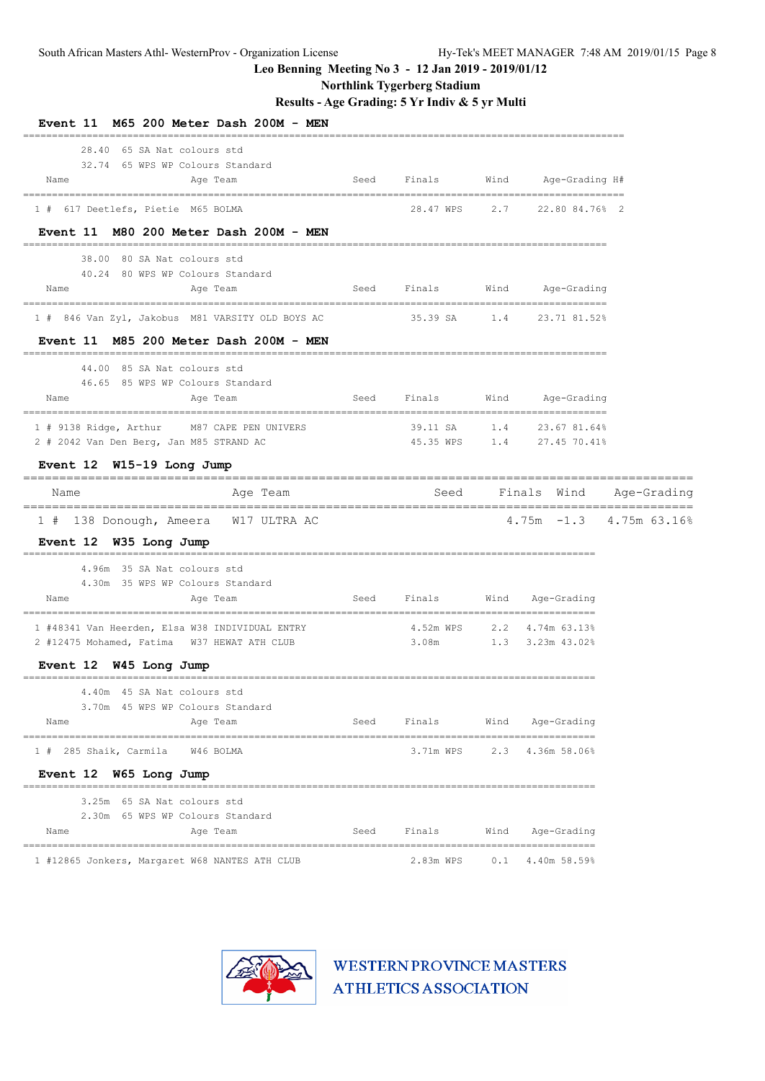**Northlink Tygerberg Stadium**

**Results - Age Grading: 5 Yr Indiv & 5 yr Multi**

| Event 11 M65 200 Meter Dash 200M - MEN                                                                     |      |                              |      |                                              |                              |
|------------------------------------------------------------------------------------------------------------|------|------------------------------|------|----------------------------------------------|------------------------------|
| 28.40 65 SA Nat colours std<br>32.74 65 WPS WP Colours Standard<br>Name<br>Age Team                        | Seed | Finals                       | Wind | Age-Grading H#                               |                              |
| 1 # 617 Deetlefs, Pietie M65 BOLMA                                                                         |      |                              |      | 28.47 WPS 2.7 22.80 84.76% 2                 |                              |
| Event 11 M80 200 Meter Dash 200M - MEN<br>38.00 80 SA Nat colours std                                      |      |                              |      |                                              |                              |
| 40.24 80 WPS WP Colours Standard<br>Age Team<br>Name                                                       | Seed | Finals                       |      | Wind Age-Grading                             |                              |
| 1 # 846 Van Zyl, Jakobus M81 VARSITY OLD BOYS AC                      35.39 SA       1.4      23.71 81.52% |      |                              |      |                                              |                              |
| Event 11 M85 200 Meter Dash 200M - MEN<br>44.00 85 SA Nat colours std                                      |      |                              |      |                                              |                              |
| 46.65 85 WPS WP Colours Standard<br>Name<br>Age Team                                                       | Seed | Finals                       |      | Wind Age-Grading                             |                              |
| 1 # 9138 Ridge, Arthur M87 CAPE PEN UNIVERS<br>2 # 2042 Van Den Berg, Jan M85 STRAND AC                    |      | 39.11 SA 1.4 23.67 81.64%    |      | 45.35 WPS 1.4 27.45 70.41%                   |                              |
| Event 12 W15-19 Long Jump                                                                                  |      |                              |      |                                              |                              |
| Name<br>Age Team                                                                                           |      |                              |      |                                              | Seed Finals Wind Age-Grading |
| 1 # 138 Donough, Ameera W17 ULTRA AC<br>Event 12 W35 Long Jump                                             |      |                              |      |                                              | $4.75m - 1.3$ $4.75m$ 63.16% |
| 4.96m 35 SA Nat colours std<br>4.30m 35 WPS WP Colours Standard                                            |      |                              |      |                                              |                              |
| Name<br>Age Team                                                                                           | Seed |                              |      | Finals Wind Age-Grading                      |                              |
| 1 #48341 Van Heerden, Elsa W38 INDIVIDUAL ENTRY<br>2 #12475 Mohamed, Fatima W37 HEWAT ATH CLUB             |      | 4.52m WPS<br>3.08m           |      | 2.2 4.74m 63.13%<br>$1.3$ $3.23$ m $43.02$ % |                              |
| Event 12 W45 Long Jump                                                                                     |      |                              |      |                                              |                              |
| 4.40m 45 SA Nat colours std<br>3.70m 45 WPS WP Colours Standard<br>Age Team<br>Name                        |      | Seed Finals Wind Age-Grading |      |                                              |                              |
|                                                                                                            |      |                              |      |                                              |                              |
| 1 # 285 Shaik, Carmila W46 BOLMA<br>Event 12 W65 Long Jump                                                 |      |                              |      | 3.71m WPS 2.3 4.36m 58.06%                   |                              |
| 3.25m 65 SA Nat colours std                                                                                |      |                              |      |                                              |                              |
| 2.30m 65 WPS WP Colours Standard<br>Aqe Team<br>Name                                                       |      | Seed Finals                  |      | Wind Age-Grading                             |                              |
| 1 #12865 Jonkers, Margaret W68 NANTES ATH CLUB                                                             |      | 2.83m WPS                    |      | $0.1$ 4.40m 58.59%                           |                              |

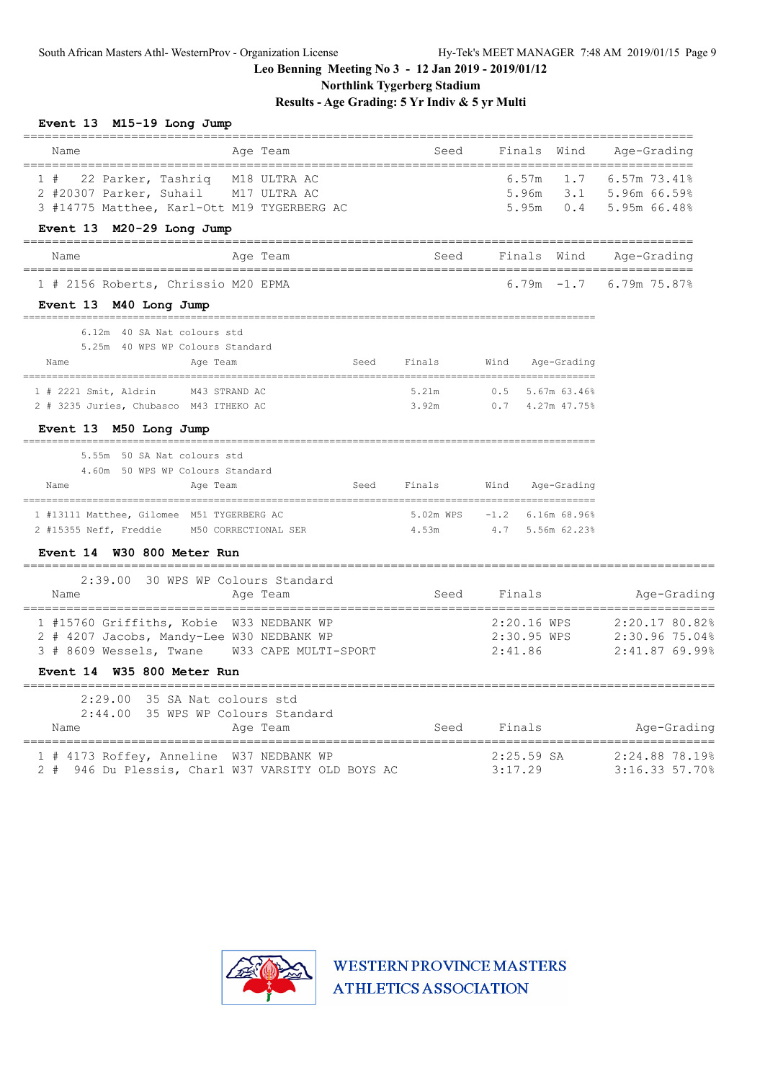**Northlink Tygerberg Stadium**

**Results - Age Grading: 5 Yr Indiv & 5 yr Multi**

#### **Event 13 M15-19 Long Jump**

| Age Team<br>Name                                                                                                                                        | Seed        | Finals Wind                                          | Aqe-Grading                                  |
|---------------------------------------------------------------------------------------------------------------------------------------------------------|-------------|------------------------------------------------------|----------------------------------------------|
| 1 # 22 Parker, Tashriq M18 ULTRA AC<br>2 #20307 Parker, Suhail M17 ULTRA AC<br>3 #14775 Matthee, Karl-Ott M19 TYGERBERG AC<br>Event 13 M20-29 Long Jump |             | 6.57m<br>5.96m 3.1 5.96m 66.59%                      | $1.7$ 6.57m 73.41%<br>5.95m 0.4 5.95m 66.48% |
| Age Team<br>Name                                                                                                                                        |             | Seed Finals Wind Age-Grading                         |                                              |
| 1 # 2156 Roberts, Chrissio M20 EPMA<br>Event 13 M40 Long Jump                                                                                           |             |                                                      | 6.79m $-1.7$ 6.79m 75.87%                    |
| 6.12m 40 SA Nat colours std<br>5.25m 40 WPS WP Colours Standard<br>Name<br>Age Team                                                                     | Seed Finals | Wind Age-Grading                                     |                                              |
| 1 # 2221 Smit, Aldrin M43 STRAND AC<br>2 # 3235 Juries, Chubasco M43 ITHEKO AC<br>Event 13 M50 Long Jump                                                | 5.21m       | $0.5$ 5.67m 63.46%<br>3.92m 0.7 4.27m 47.75%         |                                              |
| 5.55m 50 SA Nat colours std<br>4.60m 50 WPS WP Colours Standard<br>Age Team<br>Name                                                                     |             | Seed Finals Wind Age-Grading                         |                                              |
| 1 #13111 Matthee, Gilomee M51 TYGERBERG AC<br>2 #15355 Neff, Freddie M50 CORRECTIONAL SER<br>Event 14 W30 800 Meter Run                                 | 4.53m       | 5.02m WPS -1.2 6.16m 68.96%<br>4.7 5.56m 62.23%      |                                              |
| 2:39.00 30 WPS WP Colours Standard<br>Age Team<br>Name                                                                                                  | Seed        | Finals                                               | Age-Grading                                  |
| 1 #15760 Griffiths, Kobie W33 NEDBANK WP<br>2 # 4207 Jacobs, Mandy-Lee W30 NEDBANK WP<br>3 # 8609 Wessels, Twane W33 CAPE MULTI-SPORT                   |             | 2:20.16 WPS<br>2:30.95 WPS 2:30.96 75.04%<br>2:41.86 | 2:20.17 80.82%<br>2:41.87 69.99%             |
| Event 14 W35 800 Meter Run                                                                                                                              |             |                                                      |                                              |
| 2:29.00 35 SA Nat colours std<br>2:44.00 35 WPS WP Colours Standard<br>Age Team<br>Name                                                                 |             | Seed Finals Mge-Grading                              |                                              |
| 1 # 4173 Roffey, Anneline W37 NEDBANK WP<br>2 # 946 Du Plessis, Charl W37 VARSITY OLD BOYS AC                                                           |             | 2:25.59 SA<br>3:17.29                                | 2:24.88 78.19%<br>3:16.33 57.70%             |

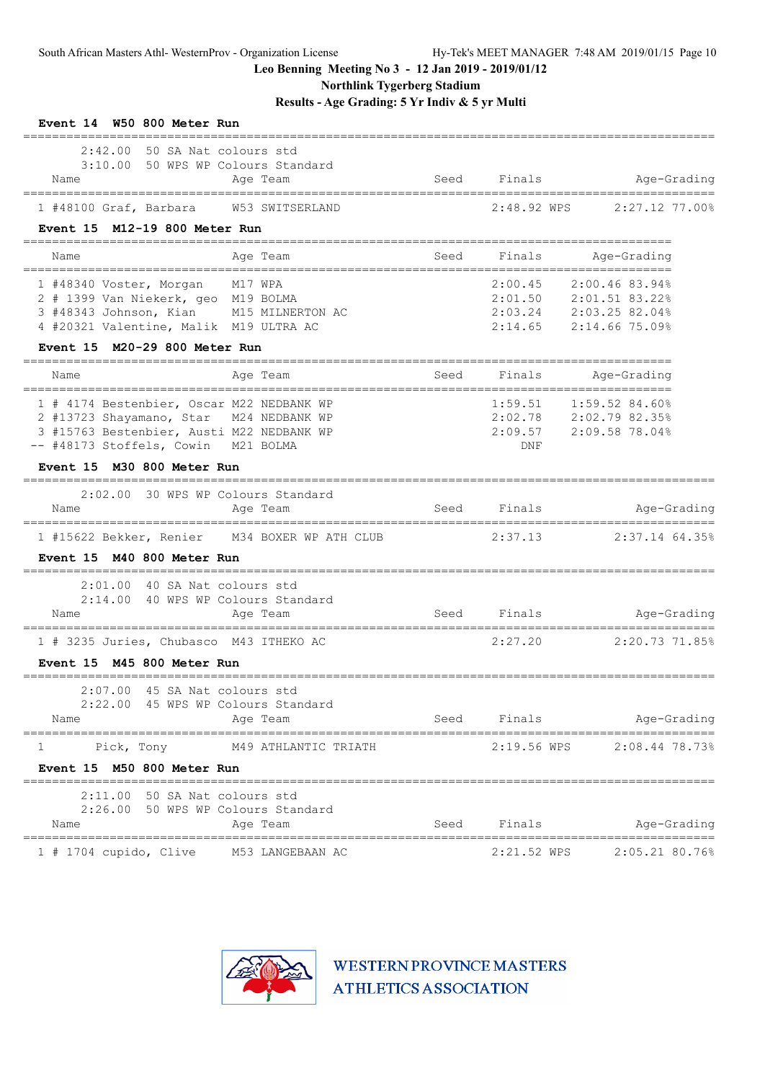**Northlink Tygerberg Stadium**

**Results - Age Grading: 5 Yr Indiv & 5 yr Multi**

| Event 14 W50 800 Meter Run                                                                                                                                |                                        |      |                           |                                                                                              |
|-----------------------------------------------------------------------------------------------------------------------------------------------------------|----------------------------------------|------|---------------------------|----------------------------------------------------------------------------------------------|
| $2:42.00$ 50 SA Nat colours std<br>3:10.00 50 WPS WP Colours Standard<br>Name                                                                             | Age Team                               | Seed | Finals                    | Age-Grading                                                                                  |
| 1 #48100 Graf, Barbara W53 SWITSERLAND                                                                                                                    |                                        |      | 2:48.92 WPS               | $2:27.12$ 77.00%                                                                             |
| Event 15 M12-19 800 Meter Run                                                                                                                             |                                        |      |                           |                                                                                              |
| Name                                                                                                                                                      | Age Team                               | Seed | Finals                    | Age-Grading                                                                                  |
| 1 #48340 Voster, Morgan<br>2 # 1399 Van Niekerk, geo M19 BOLMA<br>3 #48343 Johnson, Kian M15 MILNERTON AC<br>4 #20321 Valentine, Malik M19 ULTRA AC       | M17 WPA                                |      | 2:00.45                   | 2:00.46 83.94%<br>2:01.50 2:01.51 83.22%<br>2:03.24 2:03.25 82.04%<br>2:14.65 2:14.66 75.09% |
| M20-29 800 Meter Run<br><b>Event 15</b>                                                                                                                   |                                        |      |                           |                                                                                              |
| Name                                                                                                                                                      | Age Team                               | Seed | Finals                    | Age-Grading                                                                                  |
| 1 # 4174 Bestenbier, Oscar M22 NEDBANK WP<br>2 #13723 Shayamano, Star<br>3 #15763 Bestenbier, Austi M22 NEDBANK WP<br>-- #48173 Stoffels, Cowin M21 BOLMA | M24 NEDBANK WP                         |      | 1:59.51<br>2:09.57<br>DNF | $1:59.52$ 84.60%<br>2:02.78 2:02.79 82.35%<br>2:09.58 78.04%                                 |
| Event 15 M30 800 Meter Run<br>===========                                                                                                                 | -------------------------------------  |      |                           |                                                                                              |
| 2:02.00<br>Name                                                                                                                                           | 30 WPS WP Colours Standard<br>Age Team | Seed | Finals                    | Age-Grading                                                                                  |
| 1 #15622 Bekker, Renier<br>Event 15 M40 800 Meter Run                                                                                                     | M34 BOXER WP ATH CLUB                  |      | 2:37.13                   | $2:37.14$ 64.35%                                                                             |
| ======================================<br>2:01.00 40 SA Nat colours std<br>2:14.00 40 WPS WP Colours Standard<br>Name                                     | Age Team                               | Seed | Finals                    | Age-Grading                                                                                  |
| 1 # 3235 Juries, Chubasco M43 ITHEKO AC                                                                                                                   | ================================       |      | 2:27.20                   | =====================<br>2:20.73 71.85%                                                      |
| Event 15 M45 800 Meter Run                                                                                                                                |                                        |      |                           |                                                                                              |
| 2:07.00 45 SA Nat colours std<br>2:22.00 45 WPS WP Colours Standard<br>Name                                                                               | Age Team                               |      | Seed Finals               | Age-Grading                                                                                  |
| Pick, Tony<br>1<br>Event 15 M50 800 Meter Run                                                                                                             | M49 ATHLANTIC TRIATH                   |      |                           | ----------------------<br>2:19.56 WPS 2:08.44 78.73%                                         |
| 2:11.00 50 SA Nat colours std<br>2:26.00 50 WPS WP Colours Standard<br>Name                                                                               | Age Team                               | Seed | Finals                    | Age-Grading                                                                                  |
| 1 # 1704 cupido, Clive M53 LANGEBAAN AC                                                                                                                   |                                        |      | 2:21.52 WPS               | 2:05.21 80.76%                                                                               |

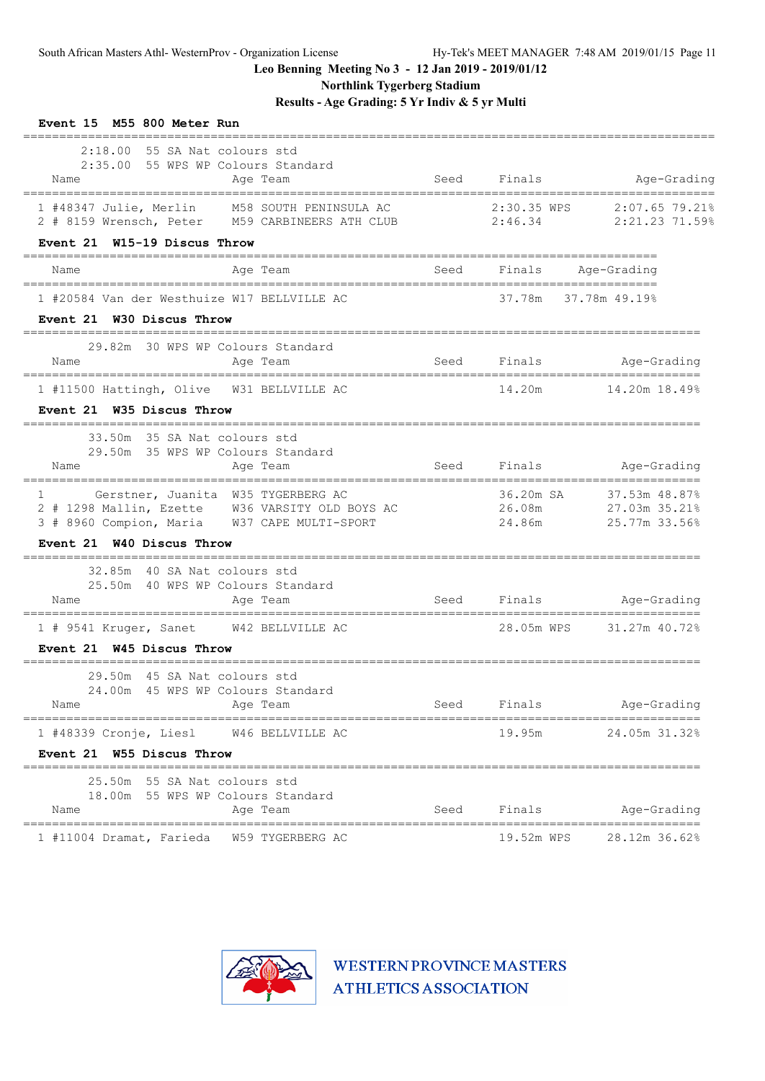**Northlink Tygerberg Stadium**

**Results - Age Grading: 5 Yr Indiv & 5 yr Multi**

| Event 15 M55 800 Meter Run                                                                                                                                 |             |                      |                                                                                   |
|------------------------------------------------------------------------------------------------------------------------------------------------------------|-------------|----------------------|-----------------------------------------------------------------------------------|
| $2:18.00$ 55 SA Nat colours std<br>2:35.00 55 WPS WP Colours Standard<br>Name<br>Age Team                                                                  | Seed        | Finals               | Age-Grading                                                                       |
| 1 #48347 Julie, Merlin M58 SOUTH PENINSULA AC<br>2 # 8159 Wrensch, Peter M59 CARBINEERS ATH CLUB 2:46.34                                                   |             | 2:30.35 WPS          | 2:07.65 79.21%<br>2:21.23 71.59%                                                  |
| Event 21 W15-19 Discus Throw                                                                                                                               |             |                      |                                                                                   |
| Age Team<br>Name                                                                                                                                           | Seed        | Finals               | Age-Grading                                                                       |
| 1 #20584 Van der Westhuize W17 BELLVILLE AC<br>Event 21 W30 Discus Throw                                                                                   |             | 37.78m 37.78m 49.19% |                                                                                   |
| 29.82m 30 WPS WP Colours Standard<br>Age Team<br>Name                                                                                                      | <b>Seed</b> |                      | Finals Age-Grading                                                                |
| 1 #11500 Hattingh, Olive W31 BELLVILLE AC<br>Event 21 W35 Discus Throw                                                                                     |             | 14.20m               | 14.20m 18.49%                                                                     |
| 33.50m 35 SA Nat colours std<br>29.50m 35 WPS WP Colours Standard<br>Age Team<br>Name                                                                      |             | Seed Finals          | Age-Grading                                                                       |
| Gerstner, Juanita W35 TYGERBERG AC<br>$1 \qquad \qquad$<br>2 # 1298 Mallin, Ezette W36 VARSITY OLD BOYS AC<br>3 # 8960 Compion, Maria W37 CAPE MULTI-SPORT |             | 24.86m               | 36.20m SA 37.53m 48.87%<br>26.08m 27.03m 35.21%<br>27.03m 35.21%<br>25.77m 33.56% |
| Event 21 W40 Discus Throw                                                                                                                                  |             |                      |                                                                                   |
| 32.85m 40 SA Nat colours std<br>25.50m 40 WPS WP Colours Standard<br>Name<br>Age Team                                                                      |             |                      | Seed Finals Age-Grading                                                           |
| ====================================<br>1 # 9541 Kruger, Sanet W42 BELLVILLE AC                                                                            |             |                      | 28.05m WPS 31.27m 40.72%                                                          |
| Event 21 W45 Discus Throw                                                                                                                                  |             |                      |                                                                                   |
| 29.50m 45 SA Nat colours std<br>24.00m 45 WPS WP Colours Standard<br>Name<br>Age Team                                                                      | Seed        | Finals               | Age-Grading                                                                       |
| =================================<br>,,,,,,,,,,,,,,,,,,,,,,,,,,,,,,,,,,,<br>W46 BELLVILLE AC                                                               |             | 19.95m               | =====================<br>24.05m 31.32%                                            |
| 1 #48339 Cronje, Liesl<br>Event 21 W55 Discus Throw                                                                                                        |             |                      |                                                                                   |
| 25.50m 55 SA Nat colours std                                                                                                                               |             |                      |                                                                                   |
| 18.00m 55 WPS WP Colours Standard<br>Name<br>Age Team<br>=================================                                                                 | Seed        | Finals               | Age-Grading                                                                       |
| 1 #11004 Dramat, Farieda<br>W59 TYGERBERG AC                                                                                                               |             | 19.52m WPS           | 28.12m 36.62%                                                                     |

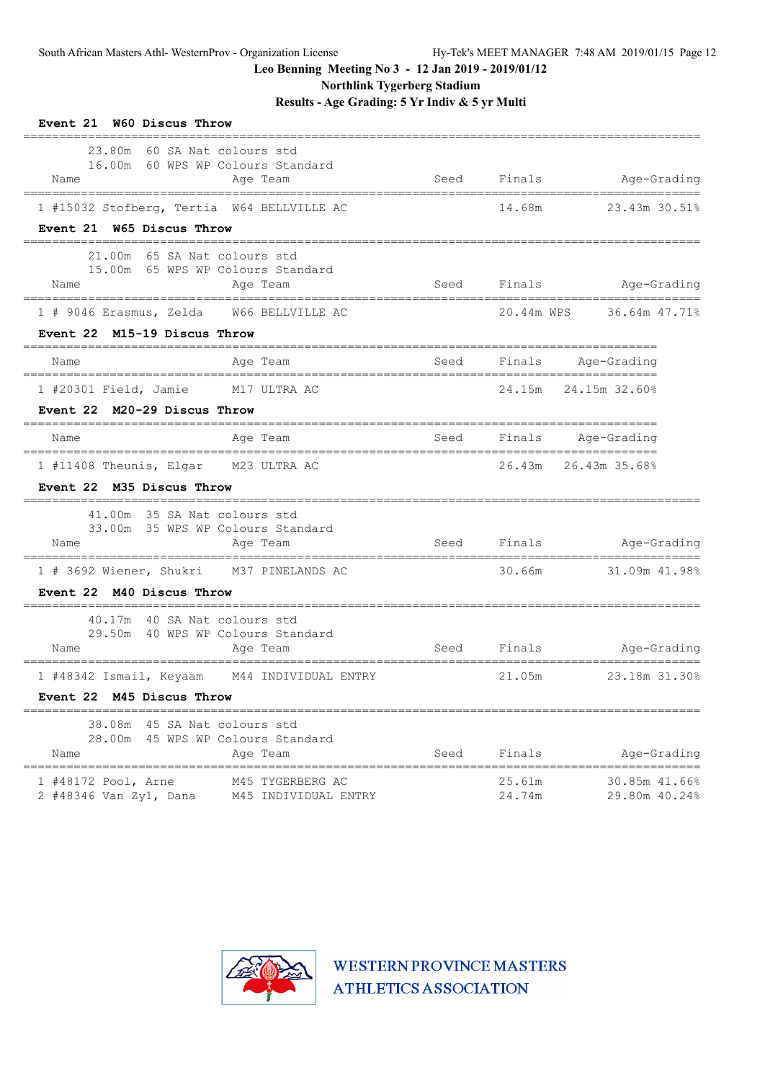**Northlink Tygerberg Stadium**

**Results - Age Grading: 5 Yr Indiv & 5 yr Multi**

| Event 21 W60 Discus Throw                                                                                                               |                     |                  |                                          |
|-----------------------------------------------------------------------------------------------------------------------------------------|---------------------|------------------|------------------------------------------|
| 23.80m 60 SA Nat colours std<br>16.00m 60 WPS WP Colours Standard<br>Name<br>Age Team<br>______________________________________         | Seed                |                  | Finals Age-Grading                       |
| 1 #15032 Stofberg, Tertia W64 BELLVILLE AC                                                                                              |                     | 14.68m           | 23.43m 30.51%                            |
| Event 21 W65 Discus Throw                                                                                                               |                     |                  |                                          |
| 65 SA Nat colours std<br>21.00m<br>15.00m 65 WPS WP Colours Standard<br>Name<br>Age Team                                                | Seed                |                  | Finals Age-Grading                       |
| 1 # 9046 Erasmus, Zelda W66 BELLVILLE AC                                                                                                |                     | 20.44m WPS       | 36.64m 47.71%                            |
| Event 22 M15-19 Discus Throw                                                                                                            |                     |                  |                                          |
| Age Team<br>Name                                                                                                                        | Seed                | Finals           | Age-Grading                              |
| 1 #20301 Field, Jamie M17 ULTRA AC                                                                                                      |                     |                  | 24.15m 24.15m 32.60%                     |
| Event 22 M20-29 Discus Throw                                                                                                            |                     |                  |                                          |
| Age Team<br>Name                                                                                                                        |                     |                  | Seed Finals Age-Grading                  |
| 1 #11408 Theunis, Elgar M23 ULTRA AC<br>Event 22 M35 Discus Throw                                                                       |                     | 26.43m           | 26.43m 35.68%                            |
| _______________________________<br>41.00m 35 SA Nat colours std<br>33.00m 35 WPS WP Colours Standard<br>Name<br>Age Team                |                     | Seed Finals      | Age-Grading                              |
| 1 # 3692 Wiener, Shukri M37 PINELANDS AC                                                                                                |                     | 30.66m           | 31.09m 41.98%                            |
| Event 22 M40 Discus Throw                                                                                                               |                     |                  |                                          |
| 40.17m 40 SA Nat colours std<br>29.50m 40 WPS WP Colours Standard<br>Name<br>Age Team                                                   | Seed                | Finals           | Age-Grading                              |
| 1 #48342 Ismail, Keyaam M44 INDIVIDUAL ENTRY                                                                                            |                     | 21.05m           | 23.18m 31.30%                            |
| Event 22 M45 Discus Throw                                                                                                               |                     |                  |                                          |
| 45 SA Nat colours std<br>38.08m<br>45 WPS WP Colours Standard<br>28.00m<br>Age Team<br>Name                                             | Seed                | Finals           | Age-Grading                              |
| =================<br>=====================<br>1 #48172 Pool, Arne<br>M45 TYGERBERG AC<br>2 #48346 Van Zyl, Dana<br>M45 INDIVIDUAL ENTRY | ------------------- | 25.61m<br>24.74m | ======<br>30.85m 41.66%<br>29.80m 40.24% |

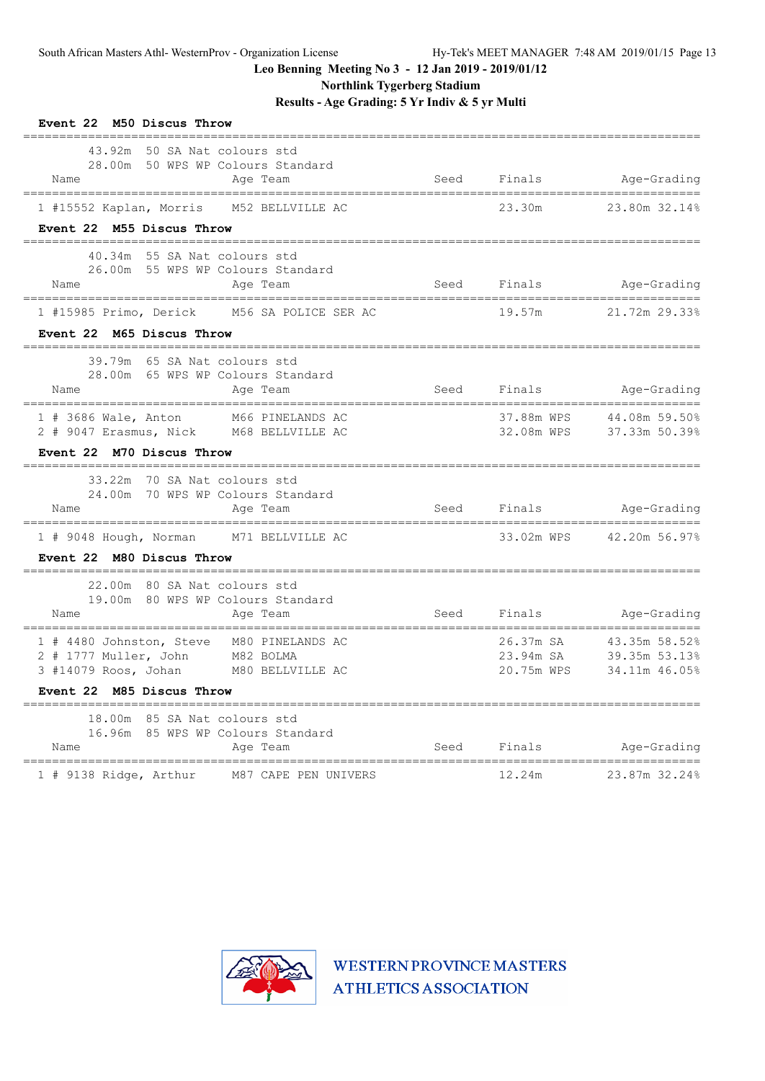**Northlink Tygerberg Stadium**

**Results - Age Grading: 5 Yr Indiv & 5 yr Multi**

| Event 22 M50 Discus Throw                                                                                                                                        |      |                                      |                                                  |
|------------------------------------------------------------------------------------------------------------------------------------------------------------------|------|--------------------------------------|--------------------------------------------------|
| 43.92m 50 SA Nat colours std<br>28.00m 50 WPS WP Colours Standard<br>Name<br>Age Team<br>___________________________________<br>-------------------------------- |      |                                      | Seed Finals Age-Grading<br>--------------------- |
| 1 #15552 Kaplan, Morris M52 BELLVILLE AC<br>Event 22 M55 Discus Throw                                                                                            |      | 23.30m                               | 23.80m 32.14%                                    |
| 40.34m 55 SA Nat colours std<br>26.00m 55 WPS WP Colours Standard<br>Name<br>Age Team<br>===============================<br>--------------------------------     |      |                                      | Seed Finals Age-Grading                          |
| 1 #15985 Primo, Derick M56 SA POLICE SER AC<br>Event 22 M65 Discus Throw                                                                                         |      | 19.57m                               | 21.72m 29.33%                                    |
| 39.79m 65 SA Nat colours std<br>28.00m 65 WPS WP Colours Standard<br>Name<br>Age Team<br>-------------------------------------                                   |      |                                      | Seed Finals Age-Grading<br>____________________  |
| 1 # 3686 Wale, Anton M66 PINELANDS AC<br>2 # 9047 Erasmus, Nick M68 BELLVILLE AC<br>Event 22 M70 Discus Throw                                                    |      | 37.88m WPS<br>32.08m WPS             | 44.08m 59.50%<br>37.33m 50.39%                   |
| 33.22m 70 SA Nat colours std<br>24.00m 70 WPS WP Colours Standard<br>Name<br>Age Team                                                                            | Seed |                                      | Finals Age-Grading                               |
| 1 # 9048 Hough, Norman M71 BELLVILLE AC<br>Event 22 M80 Discus Throw                                                                                             |      | 33.02m WPS                           | ===========================<br>42.20m 56.97%     |
| 22.00m 80 SA Nat colours std<br>19.00m 80 WPS WP Colours Standard<br>Name<br>Age Team                                                                            | Seed | Finals                               | Age-Grading                                      |
| 1 # 4480 Johnston, Steve M80 PINELANDS AC<br>2 # 1777 Muller, John M82 BOLMA<br>3 #14079 Roos, Johan M80 BELLVILLE AC<br>Event 22 M85 Discus Throw               |      | 26.37m SA<br>23.94m SA<br>20.75m WPS | 43.35m 58.52%<br>39.35m 53.13%<br>34.11m 46.05%  |
| 18.00m 85 SA Nat colours std<br>16.96m 85 WPS WP Colours Standard<br>Name<br>Age Team                                                                            | Seed | Finals                               | Age-Grading                                      |
| ===============================<br>M87 CAPE PEN UNIVERS<br>1 # 9138 Ridge, Arthur                                                                                |      | 12.24m                               | 23.87m 32.24%                                    |

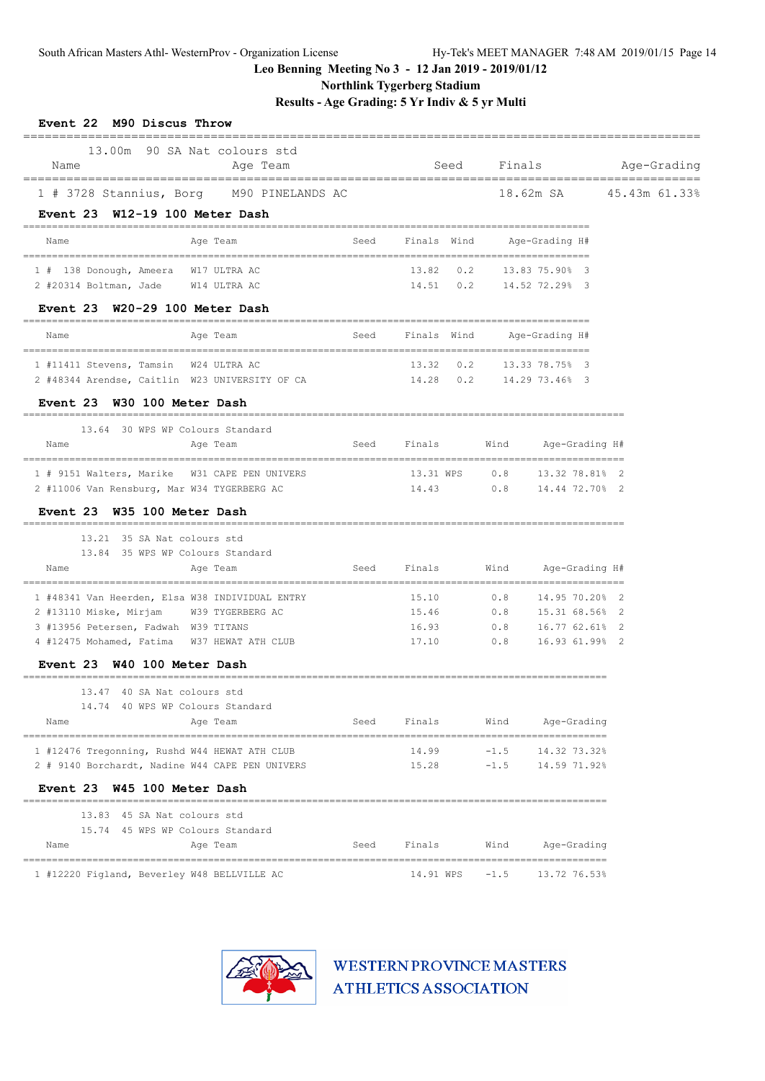**Northlink Tygerberg Stadium**

**Results - Age Grading: 5 Yr Indiv & 5 yr Multi**

| Name                                                                                                             | 13.00m 90 SA Nat colours std<br>Age Team |      |                              | Seed Finals                  |                                            |  | Age-Grading |
|------------------------------------------------------------------------------------------------------------------|------------------------------------------|------|------------------------------|------------------------------|--------------------------------------------|--|-------------|
| 1 # 3728 Stannius, Borg M90 PINELANDS AC                                                                         |                                          |      |                              |                              | 18.62m SA 45.43m 61.33%                    |  |             |
| Event 23 W12-19 100 Meter Dash                                                                                   |                                          |      |                              |                              |                                            |  |             |
| Name                                                                                                             | Age Team                                 | Seed | Finals Wind                  |                              | Age-Grading H#                             |  |             |
| 1 # 138 Donough, Ameera W17 ULTRA AC                                                                             |                                          |      |                              | 13.82  0.2  13.83  75.90%  3 |                                            |  |             |
| 2 #20314 Boltman, Jade W14 ULTRA AC<br>Event 23 W20-29 100 Meter Dash                                            |                                          |      | 14.51  0.2  14.52  72.29%  3 |                              |                                            |  |             |
| Name                                                                                                             | Age Team                                 |      | Seed Finals Wind             |                              | Age-Grading H#                             |  |             |
|                                                                                                                  |                                          |      |                              |                              |                                            |  |             |
| 1 #11411 Stevens, Tamsin W24 ULTRA AC<br>2 #48344 Arendse, Caitlin W23 UNIVERSITY OF CA 14.28 0.2 14.29 73.46% 3 |                                          |      |                              | 13.32 0.2 13.33 78.75% 3     |                                            |  |             |
| Event 23 W30 100 Meter Dash                                                                                      |                                          |      |                              |                              |                                            |  |             |
| 13.64 30 WPS WP Colours Standard                                                                                 |                                          |      |                              |                              |                                            |  |             |
| Name                                                                                                             | Age Team                                 |      | Seed Finals                  | Wind                         | Age-Grading H#                             |  |             |
| 1 # 9151 Walters, Marike W31 CAPE PEN UNIVERS                                                                    |                                          |      |                              | 13.31 WPS 0.8 13.32 78.81% 2 |                                            |  |             |
| 2 #11006 Van Rensburg, Mar W34 TYGERBERG AC<br>Event 23 W35 100 Meter Dash                                       |                                          |      | 14.43                        |                              | $0.8$ 14.44 72.70% 2                       |  |             |
| 13.21 35 SA Nat colours std                                                                                      |                                          |      |                              |                              |                                            |  |             |
| 13.84 35 WPS WP Colours Standard                                                                                 |                                          |      |                              |                              |                                            |  |             |
| Name                                                                                                             | Age Team                                 |      | Seed Finals Wind             |                              | Age-Grading H#                             |  |             |
| 1 #48341 Van Heerden, Elsa W38 INDIVIDUAL ENTRY                                                                  |                                          |      | 15.10                        | 0.8                          | 14.95 70.20% 2                             |  |             |
| 2 #13110 Miske, Mirjam<br>3 #13956 Petersen, Fadwah W39 TITANS                                                   | W39 TYGERBERG AC                         |      | 15.46<br>16.93               |                              | 0.8 15.31 68.56% 2<br>$0.8$ 16.77 62.61% 2 |  |             |
| 4 #12475 Mohamed, Fatima W37 HEWAT ATH CLUB                                                                      |                                          |      | 17.10                        | 0.8                          | 16.93 61.99% 2                             |  |             |
| Event 23 W40 100 Meter Dash                                                                                      |                                          |      |                              |                              |                                            |  |             |
|                                                                                                                  |                                          |      |                              |                              |                                            |  |             |
| 13.47 40 SA Nat colours std                                                                                      |                                          |      |                              |                              |                                            |  |             |
| 14.74 40 WPS WP Colours Standard<br>Name                                                                         |                                          | Seed | Finals                       | Wind                         |                                            |  |             |
|                                                                                                                  | Age Team                                 |      |                              |                              | Age-Grading                                |  |             |
| 1 #12476 Tregonning, Rushd W44 HEWAT ATH CLUB                                                                    |                                          |      | 14.99                        | $-1.5$                       | 14.32 73.32%<br>$-1.5$ 14.59 71.92%        |  |             |
| Event 23 W45 100 Meter Dash                                                                                      |                                          |      | 15.28                        |                              |                                            |  |             |
| 2 # 9140 Borchardt, Nadine W44 CAPE PEN UNIVERS<br>13.83 45 SA Nat colours std                                   |                                          |      |                              |                              |                                            |  |             |
| 15.74 45 WPS WP Colours Standard<br>Name                                                                         | Age Team                                 | Seed | Finals                       | Wind                         | Age-Grading                                |  |             |

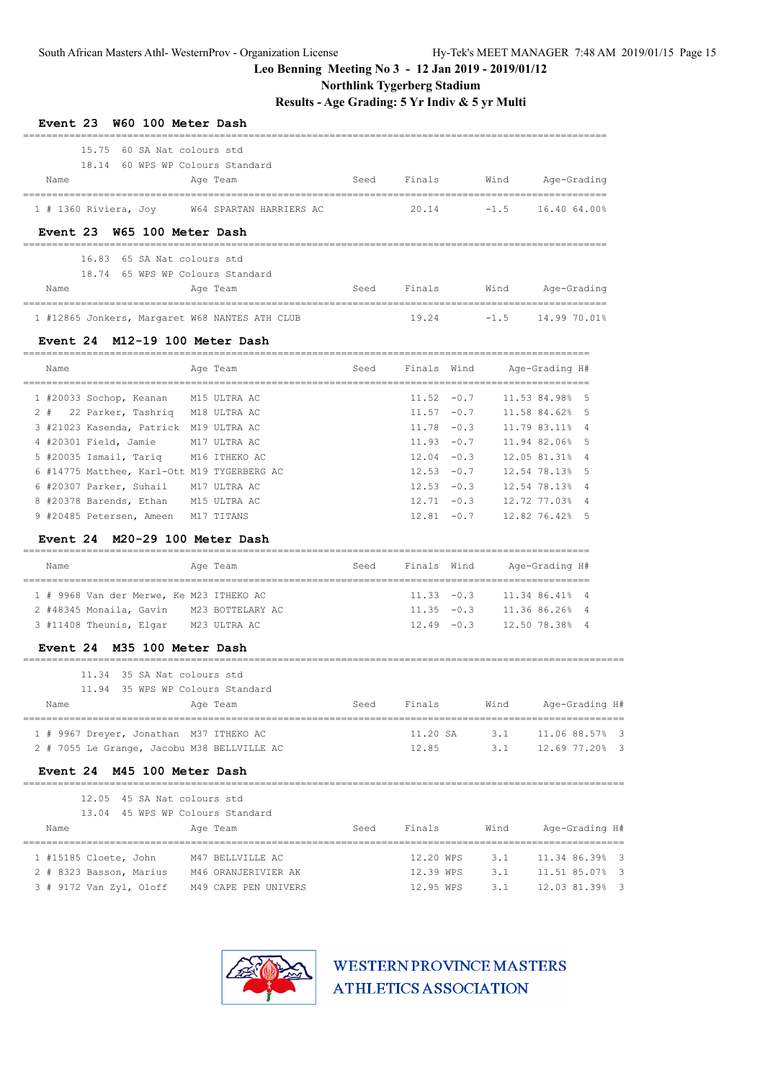**Northlink Tygerberg Stadium**

**Results - Age Grading: 5 Yr Indiv & 5 yr Multi**

| <b>Event 23</b>                                                            | W60 100 Meter Dash                              |      |               |               |                                      |                    |                |
|----------------------------------------------------------------------------|-------------------------------------------------|------|---------------|---------------|--------------------------------------|--------------------|----------------|
| 15.75                                                                      | 60 SA Nat colours std                           |      |               |               |                                      |                    |                |
| 18.14 60 WPS WP Colours Standard                                           |                                                 |      |               |               |                                      |                    |                |
| Name                                                                       | Age Team<br>___________________________________ | Seed | Finals        |               | Wind<br>____________________________ | Age-Grading        |                |
| 1 # 1360 Riviera, Joy                                                      | W64 SPARTAN HARRIERS AC                         |      | 20.14         |               | $-1.5$                               | 16.40 64.00%       |                |
| Event 23 W65 100 Meter Dash                                                |                                                 |      |               |               |                                      |                    |                |
| 16.83                                                                      | 65 SA Nat colours std                           |      |               |               |                                      |                    |                |
| 18.74 65 WPS WP Colours Standard                                           |                                                 |      |               |               |                                      |                    |                |
| Name                                                                       | Age Team                                        | Seed | Finals        |               | Wind                                 | Age-Grading        |                |
|                                                                            |                                                 |      |               |               |                                      |                    |                |
| 1 #12865 Jonkers, Margaret W68 NANTES ATH CLUB                             |                                                 |      | 19.24         |               | $-1.5$                               | 14.99 70.01%       |                |
| Event 24 M12-19 100 Meter Dash                                             |                                                 |      |               |               |                                      | ================== |                |
| Name                                                                       | Age Team                                        | Seed | Finals Wind   |               |                                      | Aqe-Grading H#     |                |
| 1 #20033 Sochop, Keanan                                                    | M15 ULTRA AC                                    |      | $11.52 - 0.7$ |               |                                      | 11.53 84.98%       | - 5            |
| $2 +$<br>22 Parker, Tashriq M18 ULTRA AC                                   |                                                 |      | $11.57 - 0.7$ |               |                                      | 11.58 84.62%       | - 5            |
| 3 #21023 Kasenda, Patrick M19 ULTRA AC                                     |                                                 |      | $11.78 - 0.3$ |               |                                      | 11.79 83.11%       | $\overline{4}$ |
| 4 #20301 Field, Jamie                                                      | M17 ULTRA AC                                    |      | $11.93 - 0.7$ |               |                                      | 11.94 82.06%       | -5             |
| 5 #20035 Ismail, Tariq                                                     | M16 ITHEKO AC                                   |      | $12.04 - 0.3$ |               |                                      | 12.05 81.31%       | 4              |
| 6 #14775 Matthee, Karl-Ott M19 TYGERBERG AC                                |                                                 |      | $12.53 - 0.7$ |               |                                      | 12.54 78.13%       | 5              |
| 6 #20307 Parker, Suhail                                                    | M17 ULTRA AC                                    |      | $12.53 - 0.3$ |               |                                      | 12.54 78.13%       | $\overline{4}$ |
| 8 #20378 Barends, Ethan                                                    | M15 ULTRA AC                                    |      | $12.71 - 0.3$ |               |                                      | 12.72 77.03%       | 4              |
| 9 #20485 Petersen, Ameen                                                   | M17 TITANS                                      |      |               | $12.81 - 0.7$ |                                      | 12.82 76.42% 5     |                |
| Event 24 M20-29 100 Meter Dash                                             |                                                 |      |               |               |                                      |                    |                |
| Name                                                                       | Age Team                                        | Seed | Finals Wind   |               |                                      | Age-Grading H#     |                |
| ______________________________<br>1 # 9968 Van der Merwe, Ke M23 ITHEKO AC |                                                 |      | $11.33 - 0.3$ |               | ----------------------------------   | 11.34 86.41% 4     |                |
| 2 #48345 Monaila, Gavin M23 BOTTELARY AC                                   |                                                 |      |               | $11.35 - 0.3$ |                                      | 11.36 86.26% 4     |                |
| 3 #11408 Theunis, Elgar M23 ULTRA AC                                       |                                                 |      |               | $12.49 - 0.3$ |                                      | 12.50 78.38% 4     |                |
| Event 24 M35 100 Meter Dash                                                |                                                 |      |               |               |                                      |                    |                |
| 11.34                                                                      | 35 SA Nat colours std                           |      |               |               |                                      |                    |                |
| 11.94                                                                      | 35 WPS WP Colours Standard                      |      |               |               |                                      |                    |                |
| Name                                                                       | Age Team                                        | Seed | Finals        |               | Wind                                 | Age-Grading H#     |                |
| 1 # 9967 Dreyer, Jonathan M37 ITHEKO AC                                    |                                                 |      | 11.20 SA      |               | 3.1 11.06 88.57% 3                   |                    |                |
| 2 # 7055 Le Grange, Jacobu M38 BELLVILLE AC                                |                                                 |      | 12.85         |               |                                      | 3.1 12.69 77.20% 3 |                |
| Event 24 M45 100 Meter Dash                                                |                                                 |      |               |               |                                      |                    |                |
| 12.05 45 SA Nat colours std                                                |                                                 |      |               |               |                                      |                    |                |
| 13.04 45 WPS WP Colours Standard                                           |                                                 |      |               |               |                                      |                    |                |
| Name                                                                       | Age Team                                        |      | Seed Finals   |               | Wind                                 | Age-Grading H#     |                |
| 1 #15185 Cloete, John                                                      | M47 BELLVILLE AC                                |      | 12.20 WPS     |               | 3.1                                  | 11.34 86.39% 3     |                |
| 2 # 8323 Basson, Marius M46 ORANJERIVIER AK                                |                                                 |      | 12.39 WPS     |               | 3.1                                  | 11.51 85.07% 3     |                |
| 3 # 9172 Van Zyl, Oloff M49 CAPE PEN UNIVERS                               |                                                 |      | 12.95 WPS     |               | 3.1                                  | 12.03 81.39% 3     |                |

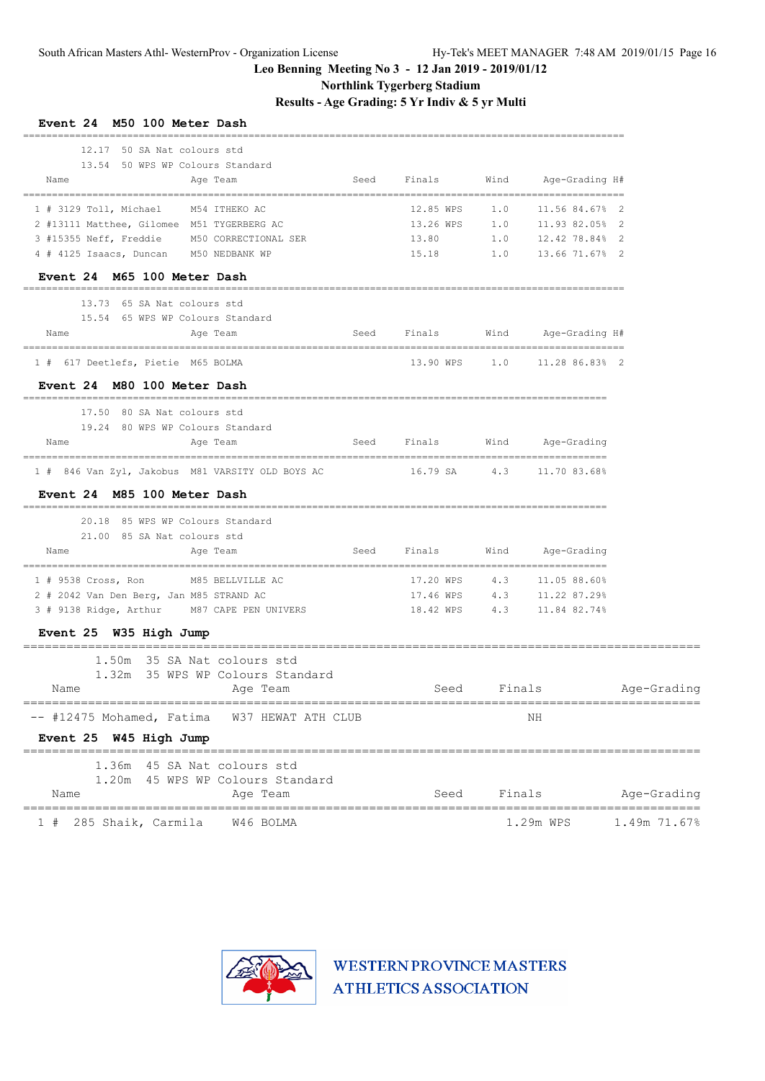# **Northlink Tygerberg Stadium**

**Results - Age Grading: 5 Yr Indiv & 5 yr Multi**

| <b>LVent 24</b><br>M50 IOO Meter Dasn<br>12.17 50 SA Nat colours std                             |      |             |                                                          |              |
|--------------------------------------------------------------------------------------------------|------|-------------|----------------------------------------------------------|--------------|
| 13.54 50 WPS WP Colours Standard<br>Age Team<br>Name                                             |      |             | Seed Finals Wind Age-Grading H#                          |              |
| 1 # 3129 Toll, Michael M54 ITHEKO AC                                                             |      |             | 12.85 WPS    1.0    11.56 84.67%    2                    |              |
| 2 #13111 Matthee, Gilomee M51 TYGERBERG AC                                                       |      |             | 13.26 WPS 1.0 11.93 82.05% 2                             |              |
| 3 #15355 Neff, Freddie M50 CORRECTIONAL SER                                                      |      |             | 13.80 1.0 12.42 78.84% 2                                 |              |
| 4 # 4125 Isaacs, Duncan M50 NEDBANK WP                                                           |      |             | 15.18 1.0 13.66 71.67% 2                                 |              |
| Event 24 M65 100 Meter Dash                                                                      |      |             |                                                          |              |
| 13.73 65 SA Nat colours std                                                                      |      |             |                                                          |              |
| 15.54 65 WPS WP Colours Standard                                                                 |      |             |                                                          |              |
| Aqe Team<br>Name                                                                                 |      |             | Seed Finals Wind Age-Grading H#                          |              |
| 1 # 617 Deetlefs, Pietie M65 BOLMA                                                               |      |             | 13.90 WPS 1.0 11.28 86.83% 2                             |              |
| Event 24 M80 100 Meter Dash                                                                      |      |             |                                                          |              |
| 17.50 80 SA Nat colours std<br>19.24 80 WPS WP Colours Standard                                  |      |             |                                                          |              |
| Age Team<br>Name                                                                                 |      |             | Seed Finals Wind Age-Grading                             |              |
| 1 # 846 Van Zyl, Jakobus M81 VARSITY OLD BOYS AC                16.79 SA     4.3    11.70 83.68% |      |             |                                                          |              |
| Event 24 M85 100 Meter Dash                                                                      |      |             |                                                          |              |
| 20.18 85 WPS WP Colours Standard                                                                 |      |             |                                                          |              |
| 21.00 85 SA Nat colours std<br>Age Team<br>Name                                                  |      |             | Seed Finals Wind Age-Grading                             |              |
|                                                                                                  |      |             |                                                          |              |
| 1 # 9538 Cross, Ron M85 BELLVILLE AC<br>2 # 2042 Van Den Berg, Jan M85 STRAND AC                 |      |             | 17.20 WPS 4.3 11.05 88.60%                               |              |
| 3 # 9138 Ridge, Arthur M87 CAPE PEN UNIVERS                                                      |      |             | 17.46 WPS 4.3 11.22 87.29%<br>18.42 WPS 4.3 11.84 82.74% |              |
| Event 25 W35 High Jump                                                                           |      |             |                                                          |              |
| 1.50m 35 SA Nat colours std                                                                      |      |             |                                                          |              |
| 1.32m 35 WPS WP Colours Standard                                                                 |      |             |                                                          |              |
| Age Team<br>Name                                                                                 |      | Seed Finals |                                                          | Age-Grading  |
| -- #12475 Mohamed, Fatima<br>W37 HEWAT ATH CLUB                                                  |      |             | ΝH                                                       |              |
| Event 25 W45 High Jump                                                                           |      |             |                                                          |              |
| 1.36m<br>45 SA Nat colours std                                                                   |      |             |                                                          |              |
| 45 WPS WP Colours Standard<br>1.20m<br>Name<br>Age Team                                          | Seed | Finals      |                                                          | Age-Grading  |
| 285 Shaik, Carmila<br>W46 BOLMA                                                                  |      |             | 1.29m WPS                                                | 1.49m 71.67% |



WESTERN PROVINCE MASTERS **ATHLETICS ASSOCIATION** 

**Event 24 M50 100 Meter Dash**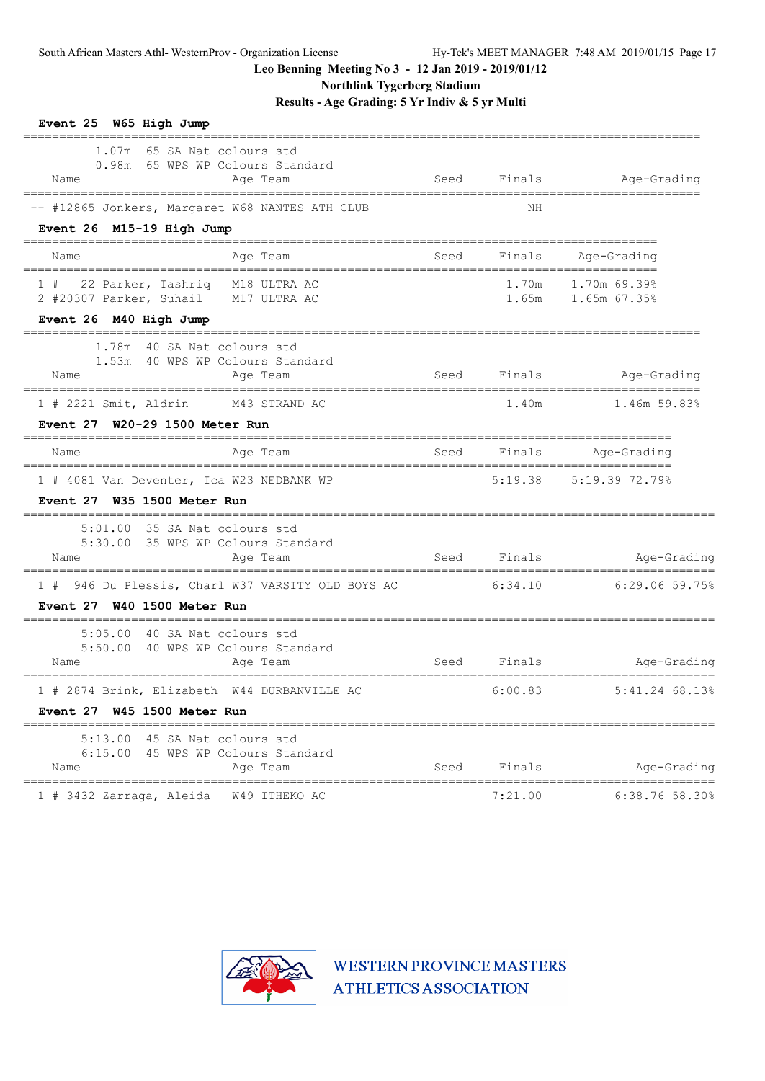**Northlink Tygerberg Stadium**

**Results - Age Grading: 5 Yr Indiv & 5 yr Multi**

| Event 25 W65 High Jump                                                                  |      |             |                                            |
|-----------------------------------------------------------------------------------------|------|-------------|--------------------------------------------|
| 1.07m 65 SA Nat colours std<br>0.98m 65 WPS WP Colours Standard<br>Age Team<br>Name     | Seed |             | Finals Age-Grading                         |
| -- #12865 Jonkers, Margaret W68 NANTES ATH CLUB                                         |      | NH          |                                            |
| Event 26 M15-19 High Jump                                                               |      |             | ---------------------                      |
| Age Team<br>Name                                                                        | Seed | Finals      | Age-Grading                                |
| 1 # 22 Parker, Tashriq M18 ULTRA AC<br>2 #20307 Parker, Suhail M17 ULTRA AC             |      |             | 1.70m  1.70m  69.39%<br>1.65m 1.65m 67.35% |
| Event 26 M40 High Jump                                                                  |      |             |                                            |
| 1.78m 40 SA Nat colours std<br>1.53m 40 WPS WP Colours Standard<br>Name<br>Age Team     | Seed | Finals      | Age-Grading                                |
| 1 # 2221 Smit, Aldrin M43 STRAND AC<br>Event 27 W20-29 1500 Meter Run                   |      | 1.40m       | 1.46m 59.83%                               |
| Age Team<br>Name                                                                        | Seed | Finals      | Age-Grading                                |
| 1 # 4081 Van Deventer, Ica W23 NEDBANK WP                                               |      |             | $5:19.38$ $5:19.39$ 72.79%                 |
| Event 27 W35 1500 Meter Run                                                             |      |             |                                            |
| 5:01.00 35 SA Nat colours std                                                           |      |             |                                            |
| 5:30.00 35 WPS WP Colours Standard<br>Age Team<br>Name                                  |      | Seed Finals | Age-Grading                                |
| 1 # 946 Du Plessis, Charl W37 VARSITY OLD BOYS AC                                       |      | 6:34.10     | 6:29.06 59.75%                             |
| Event 27 W40 1500 Meter Run                                                             |      |             |                                            |
| 5:05.00 40 SA Nat colours std<br>5:50.00 40 WPS WP Colours Standard<br>Name<br>Age Team |      | Seed Finals | Age-Grading                                |
| 1 # 2874 Brink, Elizabeth W44 DURBANVILLE AC                                            |      | 6:00.83     | $5:41.24$ 68.13%                           |
| Event 27 W45 1500 Meter Run                                                             |      |             |                                            |
| 5:13.00 45 SA Nat colours std                                                           |      |             |                                            |
| 6:15.00 45 WPS WP Colours Standard<br>Age Team<br>Name                                  | Seed | Finals      | Age-Grading<br>==========================  |
| 1 # 3432 Zarraga, Aleida<br>W49 ITHEKO AC                                               |      | 7:21.00     | $6:38.76$ 58.30%                           |

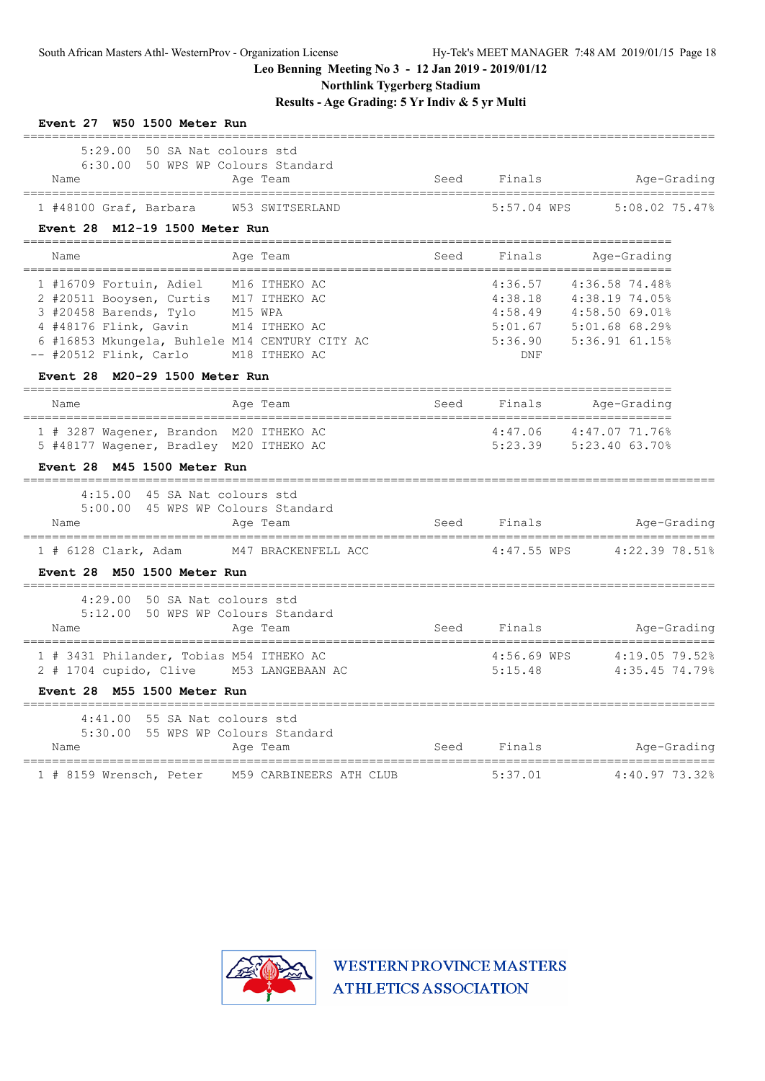**Northlink Tygerberg Stadium**

**Results - Age Grading: 5 Yr Indiv & 5 yr Multi**

| Event 27 W50 1500 Meter Run                                                                                                                                                                                                                                                             |      |                        |                                                                                                                          |
|-----------------------------------------------------------------------------------------------------------------------------------------------------------------------------------------------------------------------------------------------------------------------------------------|------|------------------------|--------------------------------------------------------------------------------------------------------------------------|
| 5:29.00 50 SA Nat colours std<br>6:30.00 50 WPS WP Colours Standard<br>Age Team<br>Name<br>=====================================                                                                                                                                                        | Seed | Finals                 | Age-Grading                                                                                                              |
| 1 #48100 Graf, Barbara W53 SWITSERLAND                                                                                                                                                                                                                                                  |      | 5:57.04 WPS            | 5:08.02 75.47%                                                                                                           |
| Event 28 M12-19 1500 Meter Run                                                                                                                                                                                                                                                          |      |                        |                                                                                                                          |
| Age Team<br>Name                                                                                                                                                                                                                                                                        | Seed | Finals                 | Age-Grading                                                                                                              |
| 1 #16709 Fortuin, Adiel M16 ITHEKO AC<br>2 #20511 Booysen, Curtis M17 ITHEKO AC<br>3 #20458 Barends, Tylo M15 WPA<br>4 #48176 Flink, Gavin M14 ITHEKO AC<br>6 #16853 Mkungela, Buhlele M14 CENTURY CITY AC<br>-- #20512 Flink, Carlo<br>M18 ITHEKO AC<br>Event 28 M20-29 1500 Meter Run |      | 4:36.57<br><b>DNF</b>  | 4:36.58 74.48%<br>4:38.18 4:38.19 74.05%<br>4:58.49  4:58.50  69.01%<br>5:01.67 5:01.68 68.29%<br>5:36.90 5:36.91 61.15% |
| Age Team<br>Name                                                                                                                                                                                                                                                                        | Seed | Finals                 | =================<br>Age-Grading                                                                                         |
| 1 # 3287 Wagener, Brandon M20 ITHEKO AC<br>5 #48177 Wagener, Bradley M20 ITHEKO AC<br>Event 28 M45 1500 Meter Run                                                                                                                                                                       |      |                        | $4:47.06$ $4:47.07$ $71.76%$<br>5:23.39 5:23.40 63.70%                                                                   |
| 4:15.00 45 SA Nat colours std<br>5:00.00 45 WPS WP Colours Standard<br>Name<br>Age Team                                                                                                                                                                                                 |      | Seed Finals            | Age-Grading                                                                                                              |
| 1 # 6128 Clark, Adam<br>M47 BRACKENFELL ACC<br>Event 28 M50 1500 Meter Run                                                                                                                                                                                                              |      | $4:47.55$ WPS          | 4:22.39 78.51%                                                                                                           |
| 4:29.00 50 SA Nat colours std<br>5:12.00 50 WPS WP Colours Standard<br>Age Team<br>Name                                                                                                                                                                                                 | Seed | Finals                 | Age-Grading                                                                                                              |
| 1 # 3431 Philander, Tobias M54 ITHEKO AC<br>2 # 1704 cupido, Clive M53 LANGEBAAN AC<br>Event 28 M55 1500 Meter Run                                                                                                                                                                      |      | 4:56.69 WPS<br>5:15.48 | 4:19.05 79.52%<br>4:35.45 74.79%                                                                                         |
| $4:41.00$ 55 SA Nat colours std<br>5:30.00 55 WPS WP Colours Standard<br>Age Team<br>Name                                                                                                                                                                                               | Seed | Finals                 | Age-Grading                                                                                                              |
| 1 # 8159 Wrensch, Peter M59 CARBINEERS ATH CLUB                                                                                                                                                                                                                                         |      | 5:37.01                | 4:40.97 73.32%                                                                                                           |

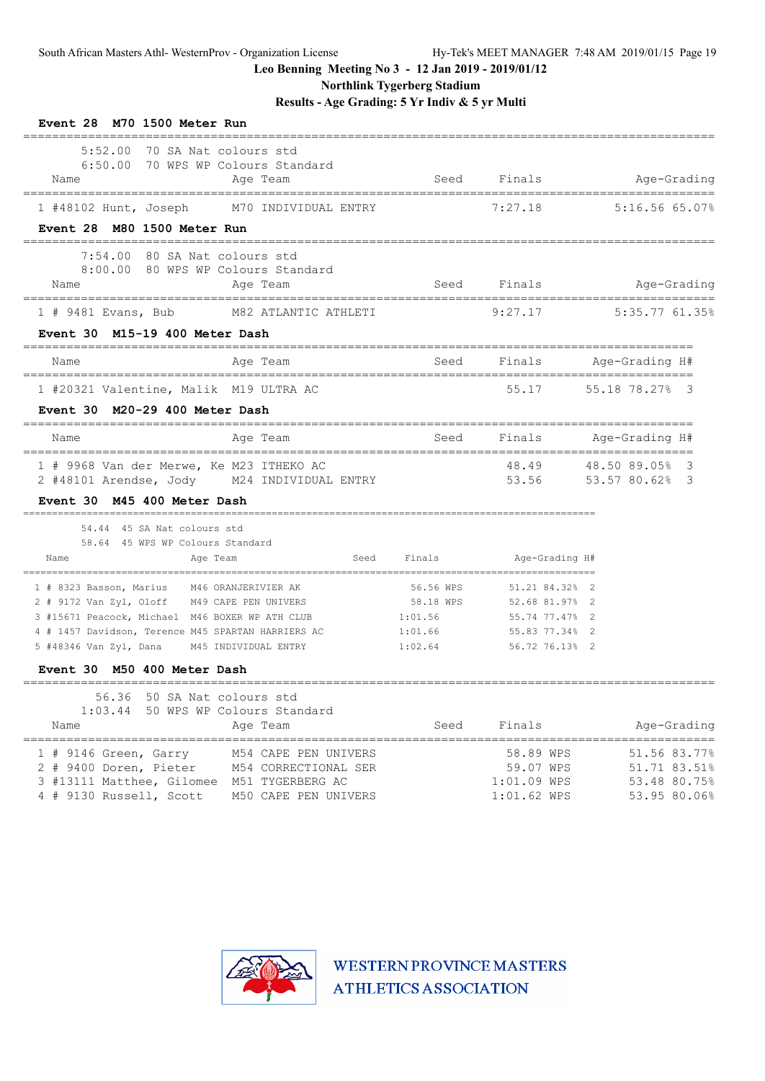**Northlink Tygerberg Stadium**

**Results - Age Grading: 5 Yr Indiv & 5 yr Multi**

| Event 28 M70 1500 Meter Run                                                                                                                                                                                                                                                                                        |                                   |                                                                                    |                                                                          |
|--------------------------------------------------------------------------------------------------------------------------------------------------------------------------------------------------------------------------------------------------------------------------------------------------------------------|-----------------------------------|------------------------------------------------------------------------------------|--------------------------------------------------------------------------|
| 5:52.00<br>70 SA Nat colours std<br>6:50.00 70 WPS WP Colours Standard<br>Name<br>Age Team                                                                                                                                                                                                                         | ========================          |                                                                                    | Seed Finals Mge-Grading                                                  |
| 1 #48102 Hunt, Joseph M70 INDIVIDUAL ENTRY<br>Event 28 M80 1500 Meter Run                                                                                                                                                                                                                                          |                                   | 7:27.18                                                                            | 5:16.56 65.07%                                                           |
| 7:54.00<br>80 SA Nat colours std<br>8:00.00 80 WPS WP Colours Standard<br>Name<br>Age Team                                                                                                                                                                                                                         |                                   |                                                                                    | Seed Finals Mage-Grading                                                 |
| 1 # 9481 Evans, Bub M82 ATLANTIC ATHLETI                                                                                                                                                                                                                                                                           |                                   | 9:27.17                                                                            | $5:35.77$ 61.35%                                                         |
| M15-19 400 Meter Dash<br>Event 30                                                                                                                                                                                                                                                                                  |                                   |                                                                                    |                                                                          |
| Name<br>Age Team                                                                                                                                                                                                                                                                                                   |                                   |                                                                                    | Seed Finals Age-Grading H#                                               |
| 1 #20321 Valentine, Malik M19 ULTRA AC                                                                                                                                                                                                                                                                             |                                   | 55.17                                                                              | 55.18 78.27% 3                                                           |
| M20-29 400 Meter Dash<br><b>Event 30</b>                                                                                                                                                                                                                                                                           |                                   |                                                                                    |                                                                          |
| Name<br>Age Team                                                                                                                                                                                                                                                                                                   |                                   |                                                                                    | Seed Finals Age-Grading H#                                               |
| 1 # 9968 Van der Merwe, Ke M23 ITHEKO AC<br>2 #48101 Arendse, Jody M24 INDIVIDUAL ENTRY<br>Event 30 M45 400 Meter Dash                                                                                                                                                                                             |                                   |                                                                                    | ========================<br>48.49 48.50 89.05% 3<br>53.56 53.57 80.62% 3 |
| 54.44 45 SA Nat colours std<br>58.64 45 WPS WP Colours Standard<br>Age Team<br>Seed<br>Name                                                                                                                                                                                                                        | Finals                            | Age-Grading H#                                                                     |                                                                          |
| 1 # 8323 Basson, Marius M46 ORANJERIVIER AK<br>2 # 9172 Van Zyl, Oloff M49 CAPE PEN UNIVERS<br>3 #15671 Peacock, Michael M46 BOXER WP ATH CLUB<br>1:01.56<br>4 # 1457 Davidson, Terence M45 SPARTAN HARRIERS AC 1:01.66<br>5 #48346 Van Zyl, Dana<br>M45 INDIVIDUAL ENTRY<br>M50 400 Meter Dash<br><b>Event 30</b> | 56.56 WPS<br>58.18 WPS<br>1:02.64 | 51.21 84.32% 2<br>52.68 81.97% 2<br>55.74 77.47%<br>55.83 77.34%<br>56.72 76.13% 2 | -2<br>-2                                                                 |
| ==============================<br>56.36 50 SA Nat colours std<br>1:03.44 50 WPS WP Colours Standard<br>Name<br>Age Team                                                                                                                                                                                            | Seed                              | Finals                                                                             | Age-Grading                                                              |
| 1 # 9146 Green, Garry<br>M54 CAPE PEN UNIVERS<br>2 # 9400 Doren, Pieter<br>M54 CORRECTIONAL SER<br>3 #13111 Matthee, Gilomee M51 TYGERBERG AC<br>4 # 9130 Russell, Scott<br>M50 CAPE PEN UNIVERS                                                                                                                   |                                   | 58.89 WPS<br>59.07 WPS<br>1:01.09 WPS<br>$1:01.62$ WPS                             | 51.56 83.77%<br>51.71 83.51%<br>53.48 80.75%<br>53.95 80.06%             |

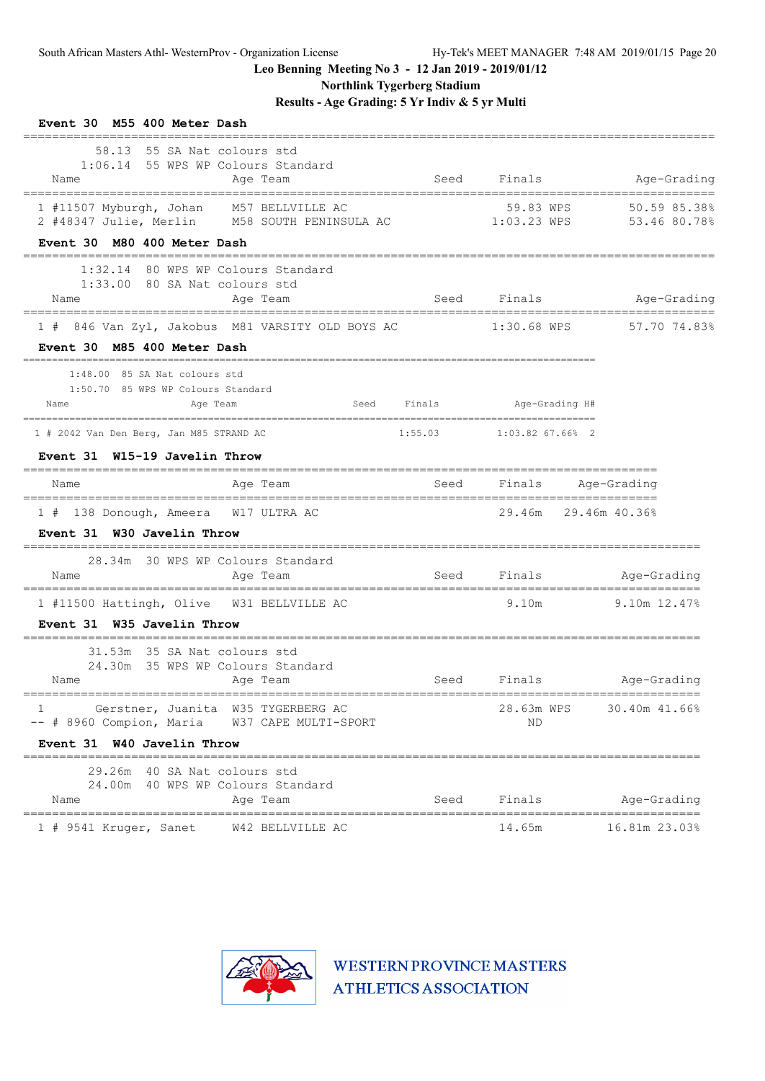**Northlink Tygerberg Stadium**

**Results - Age Grading: 5 Yr Indiv & 5 yr Multi**

| Event 30 M55 400 Meter Dash                                                                                                          |             |                              |                                          |
|--------------------------------------------------------------------------------------------------------------------------------------|-------------|------------------------------|------------------------------------------|
| 58.13 55 SA Nat colours std<br>1:06.14 55 WPS WP Colours Standard<br>Age Team<br>Name                                                | Seed        | Finals                       | Age-Grading                              |
| 1 #11507 Myburgh, Johan M57 BELLVILLE AC<br>2 #48347 Julie, Merlin M58 SOUTH PENINSULA AC 1:03.23 WPS<br>Event 30 M80 400 Meter Dash |             | 59.83 WPS                    | 50.59 85.38%<br>53.46 80.78%             |
| 1:32.14 80 WPS WP Colours Standard<br>1:33.00 80 SA Nat colours std<br>Age Team<br>Name                                              | Seed Finals |                              | Age-Grading                              |
| 846 Van Zyl, Jakobus M81 VARSITY OLD BOYS AC<br>Event 30 M85 400 Meter Dash                                                          |             | $1:30.68$ WPS                | 57.70 74.83%                             |
| 1:48.00 85 SA Nat colours std<br>1:50.70 85 WPS WP Colours Standard<br>Age Team<br>Name                                              | Seed Finals | Age-Grading H#               |                                          |
| 1 # 2042 Van Den Berg, Jan M85 STRAND AC<br>Event 31 W15-19 Javelin Throw                                                            |             | $1:55.03$ $1:03.82$ 67.66% 2 |                                          |
| Age Team<br>Name                                                                                                                     | Seed        | Finals                       | Age-Grading                              |
| 1 # 138 Donough, Ameera W17 ULTRA AC<br>Event 31 W30 Javelin Throw                                                                   |             | 29.46m 29.46m 40.36%         |                                          |
| 28.34m 30 WPS WP Colours Standard<br>Age Team<br>Name                                                                                | <b>Seed</b> |                              | Finals Age-Grading                       |
| 1 #11500 Hattingh, Olive W31 BELLVILLE AC<br>Event 31 W35 Javelin Throw                                                              |             | 9.10m                        | $9.10m$ $12.47\%$                        |
| 31.53m 35 SA Nat colours std<br>24.30m 35 WPS WP Colours Standard<br>Age Team<br>Name                                                |             | Seed Finals                  | Age-Grading                              |
| Gerstner, Juanita W35 TYGERBERG AC<br>1<br>-- # 8960 Compion, Maria W37 CAPE MULTI-SPORT                                             |             | 28.63m WPS<br>ΝD             | 30.40m 41.66%                            |
| Event 31 W40 Javelin Throw                                                                                                           |             |                              |                                          |
| 29.26m 40 SA Nat colours std<br>24.00m 40 WPS WP Colours Standard<br>Age Team<br>Name                                                | Seed        | Finals                       | Age-Grading<br>------------------------- |
| W42 BELLVILLE AC<br>1 # 9541 Kruger, Sanet                                                                                           |             | 14.65m                       | 16.81m 23.03%                            |

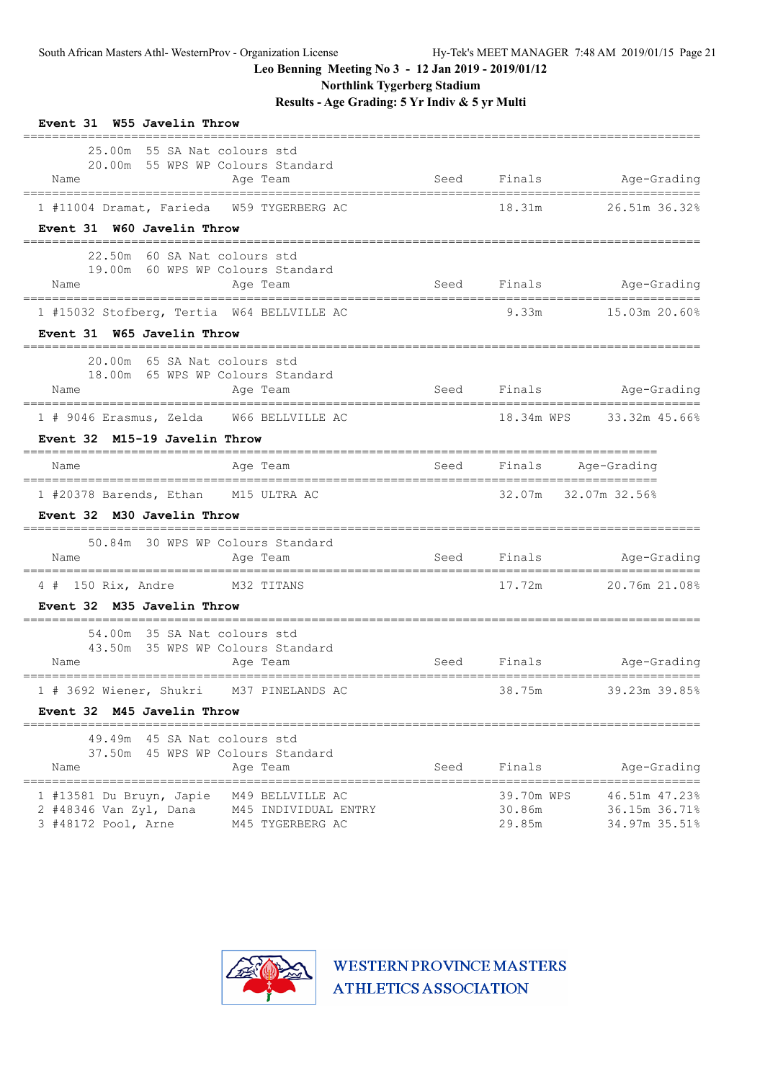**Northlink Tygerberg Stadium**

**Results - Age Grading: 5 Yr Indiv & 5 yr Multi**

| Event 31 W55 Javelin Throw<br>___________________                                                                                         |      |                                |                                                 |
|-------------------------------------------------------------------------------------------------------------------------------------------|------|--------------------------------|-------------------------------------------------|
| 25.00m 55 SA Nat colours std<br>20.00m 55 WPS WP Colours Standard<br>Age Team<br>Name                                                     |      |                                | Seed Finals Age-Grading                         |
| 1 #11004 Dramat, Farieda W59 TYGERBERG AC                                                                                                 |      |                                | 18.31m 26.51m 36.32%                            |
| Event 31 W60 Javelin Throw                                                                                                                |      |                                |                                                 |
| 22.50m 60 SA Nat colours std<br>19.00m 60 WPS WP Colours Standard<br>Age Team<br>Name                                                     |      |                                | Seed Finals Age-Grading                         |
| 1 #15032 Stofberg, Tertia W64 BELLVILLE AC                                                                                                |      |                                | 9.33m 15.03m 20.60%                             |
| Event 31 W65 Javelin Throw                                                                                                                |      |                                |                                                 |
| 20.00m 65 SA Nat colours std<br>18.00m 65 WPS WP Colours Standard<br>Age Team<br>Name                                                     |      |                                | Seed Finals Age-Grading                         |
| 1 # 9046 Erasmus, Zelda W66 BELLVILLE AC                                                                                                  |      |                                | 18.34m WPS 33.32m 45.66%                        |
| Event 32 M15-19 Javelin Throw                                                                                                             |      |                                |                                                 |
| Aqe Team<br>Name                                                                                                                          |      |                                | Seed Finals Age-Grading                         |
| 1 #20378 Barends, Ethan M15 ULTRA AC<br>Event 32 M30 Javelin Throw                                                                        |      |                                | 32.07m 32.07m 32.56%                            |
| 50.84m 30 WPS WP Colours Standard<br>Name<br>Age Team                                                                                     |      |                                | Seed Finals Mge-Grading                         |
| 4 # 150 Rix, Andre M32 TITANS                                                                                                             |      | 17.72m                         | 20.76m 21.08%                                   |
| Event 32 M35 Javelin Throw                                                                                                                |      |                                |                                                 |
| 54.00m 35 SA Nat colours std<br>43.50m 35 WPS WP Colours Standard<br>Name<br>Age Team                                                     | Seed |                                |                                                 |
|                                                                                                                                           |      |                                |                                                 |
| 1 # 3692 Wiener, Shukri M37 PINELANDS AC<br>Event 32 M45 Javelin Throw                                                                    |      | 38.75m                         | 39.23m 39.85%                                   |
|                                                                                                                                           |      |                                |                                                 |
| 49.49m 45 SA Nat colours std<br>37.50m 45 WPS WP Colours Standard                                                                         |      |                                |                                                 |
| Name<br>Age Team                                                                                                                          | Seed | Finals                         | Age-Grading<br>===========                      |
| 1 #13581 Du Bruyn, Japie<br>M49 BELLVILLE AC<br>2 #48346 Van Zyl, Dana<br>M45 INDIVIDUAL ENTRY<br>3 #48172 Pool, Arne<br>M45 TYGERBERG AC |      | 39.70m WPS<br>30.86m<br>29.85m | 46.51m 47.23%<br>36.15m 36.71%<br>34.97m 35.51% |

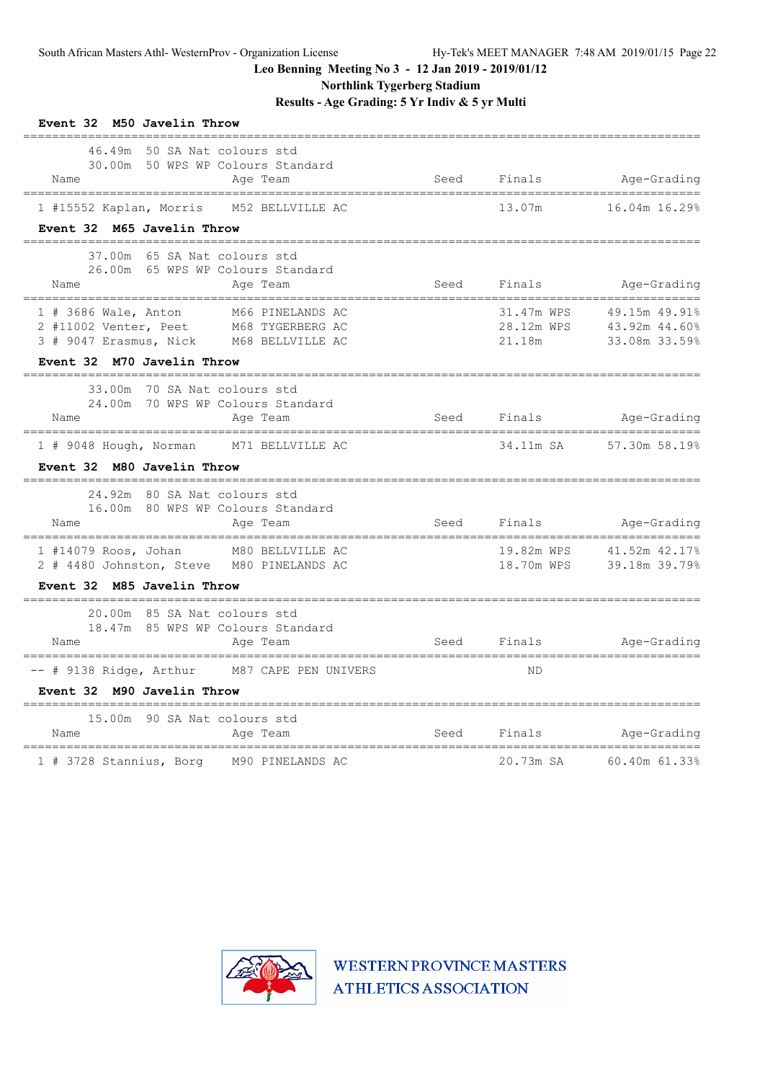**Northlink Tygerberg Stadium**

**Results - Age Grading: 5 Yr Indiv & 5 yr Multi**

| Event 32 M50 Javelin Throw                                                                                                                                          |      |                             |                                                            |
|---------------------------------------------------------------------------------------------------------------------------------------------------------------------|------|-----------------------------|------------------------------------------------------------|
| 46.49m<br>50 SA Nat colours std<br>30.00m 50 WPS WP Colours Standard<br>Name<br>Age Team<br>======================================<br>----------------------------- |      | Seed Finals                 | Age-Grading                                                |
| 1 #15552 Kaplan, Morris M52 BELLVILLE AC<br>Event 32 M65 Javelin Throw                                                                                              |      | 13.07m                      | 16.04m 16.29%                                              |
|                                                                                                                                                                     |      |                             |                                                            |
| 37.00m 65 SA Nat colours std<br>26.00m 65 WPS WP Colours Standard<br>Name<br>Age Team                                                                               |      | Seed Finals                 | Age-Grading                                                |
| 1 # 3686 Wale, Anton M66 PINELANDS AC<br>2 #11002 Venter, Peet M68 TYGERBERG AC<br>3 # 9047 Erasmus, Nick M68 BELLVILLE AC                                          |      | 28.12m WPS<br>21.18m        | 31.47m WPS 49.15m 49.91%<br>43.92m 44.60%<br>33.08m 33.59% |
| Event 32 M70 Javelin Throw                                                                                                                                          |      |                             |                                                            |
| 33.00m<br>70 SA Nat colours std<br>24.00m 70 WPS WP Colours Standard<br>Name<br>Age Team                                                                            | Seed |                             | Finals Age-Grading                                         |
| 1 # 9048 Hough, Norman M71 BELLVILLE AC<br>Event 32 M80 Javelin Throw                                                                                               |      |                             | 34.11m SA 57.30m 58.19%                                    |
| ____________________________________<br>24.92m 80 SA Nat colours std<br>16.00m 80 WPS WP Colours Standard<br>Name<br>Age Team                                       | Seed |                             | Finals Age-Grading                                         |
| 1 #14079 Roos, Johan M80 BELLVILLE AC<br>2 # 4480 Johnston, Steve M80 PINELANDS AC<br>Event 32 M85 Javelin Throw                                                    |      | 19.82m WPS<br>18.70m WPS    | 41.52m 42.17%<br>39.18m 39.79%                             |
|                                                                                                                                                                     |      |                             |                                                            |
| 20.00m 85 SA Nat colours std<br>18.47m 85 WPS WP Colours Standard<br>Name<br>Age Team<br>________________________________                                           |      | ___________________________ | Seed Finals Age-Grading                                    |
| -- # 9138 Ridge, Arthur M87 CAPE PEN UNIVERS<br>Event 32 M90 Javelin Throw                                                                                          |      | <b>ND</b>                   |                                                            |
| ________________________________<br>15.00m<br>90 SA Nat colours std<br>Name<br>Age Team                                                                             | Seed | Finals                      | Age-Grading                                                |
| 1 # 3728 Stannius, Borg M90 PINELANDS AC                                                                                                                            |      | 20.73m SA                   | 60.40m 61.33%                                              |

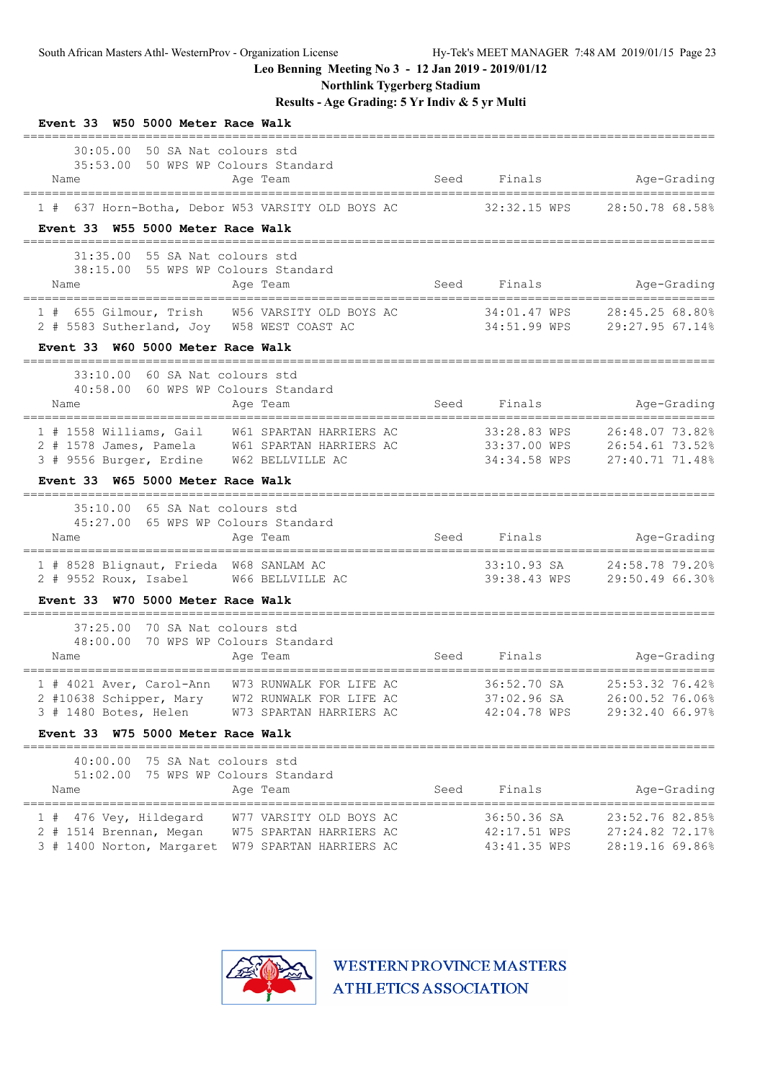**Northlink Tygerberg Stadium**

**Results - Age Grading: 5 Yr Indiv & 5 yr Multi**

| Event 33 W50 5000 Meter Race Walk                                                                                                                                                  |      |                                             |                                                             |
|------------------------------------------------------------------------------------------------------------------------------------------------------------------------------------|------|---------------------------------------------|-------------------------------------------------------------|
| 30:05.00<br>50 SA Nat colours std<br>35:53.00 50 WPS WP Colours Standard<br>Age Team<br>Name                                                                                       | Seed | Finals                                      | Age-Grading                                                 |
| 1 # 637 Horn-Botha, Debor W53 VARSITY OLD BOYS AC                                                                                                                                  |      | 32:32.15 WPS                                | 28:50.78 68.58%                                             |
| Event 33 W55 5000 Meter Race Walk                                                                                                                                                  |      |                                             |                                                             |
| 31:35.00 55 SA Nat colours std<br>38:15.00 55 WPS WP Colours Standard<br>Age Team<br>Name                                                                                          |      | Seed Finals                                 | Age-Grading                                                 |
| 1 # 655 Gilmour, Trish W56 VARSITY OLD BOYS AC<br>2 # 5583 Sutherland, Joy W58 WEST COAST AC                                                                                       |      | 34:01.47 WPS                                | 28:45.25 68.80%<br>34:51.99 WPS 29:27.95 67.14%             |
| Event 33 W60 5000 Meter Race Walk                                                                                                                                                  |      |                                             |                                                             |
| 33:10.00<br>60 SA Nat colours std<br>40:58.00 60 WPS WP Colours Standard<br>Name<br>Age Team<br>---------------------------------                                                  |      | Seed Finals                                 | Age-Grading                                                 |
| 1 # 1558 Williams, Gail W61 SPARTAN HARRIERS AC<br>2 # 1578 James, Pamela W61 SPARTAN HARRIERS AC<br>3 # 9556 Burger, Erdine W62 BELLVILLE AC<br>Event 33 W65 5000 Meter Race Walk |      | 33:28.83 WPS<br>34:34.58 WPS                | 26:48.07 73.82%<br>27:40.71 71.48%                          |
| 35:10.00 65 SA Nat colours std<br>45:27.00 65 WPS WP Colours Standard<br>Age Team<br>Name                                                                                          | Seed | Finals                                      | Age-Grading                                                 |
| =======<br>1 # 8528 Blignaut, Frieda W68 SANLAM AC<br>2 # 9552 Roux, Isabel W66 BELLVILLE AC                                                                                       |      |                                             | 33:10.93 SA 24:58.78 79.20%<br>39:38.43 WPS 29:50.49 66.30% |
| Event 33 W70 5000 Meter Race Walk                                                                                                                                                  |      |                                             |                                                             |
| 37:25.00 70 SA Nat colours std<br>48:00.00 70 WPS WP Colours Standard<br>Name<br>Age Team                                                                                          | Seed | Finals                                      | Age-Grading                                                 |
| 1 # 4021 Aver, Carol-Ann W73 RUNWALK FOR LIFE AC<br>W72 RUNWALK FOR LIFE AC<br>2 #10638 Schipper, Mary<br>3 # 1480 Botes, Helen<br>W73 SPARTAN HARRIERS AC                         |      | 36:52.70 SA<br>37:02.96 SA<br>42:04.78 WPS  | 25:53.32 76.42%<br>26:00.52 76.06%<br>29:32.40 66.97%       |
| Event 33 W75 5000 Meter Race Walk                                                                                                                                                  |      |                                             |                                                             |
| 40:00.00 75 SA Nat colours std<br>51:02.00 75 WPS WP Colours Standard<br>Age Team<br>Name                                                                                          | Seed | Finals                                      | Age-Grading                                                 |
| 476 Vey, Hildegard<br>W77 VARSITY OLD BOYS AC<br>2 # 1514 Brennan, Megan<br>W75 SPARTAN HARRIERS AC<br>3 # 1400 Norton, Margaret W79 SPARTAN HARRIERS AC                           |      | 36:50.36 SA<br>42:17.51 WPS<br>43:41.35 WPS | 23:52.76 82.85%<br>27:24.82 72.17%<br>28:19.16 69.86%       |

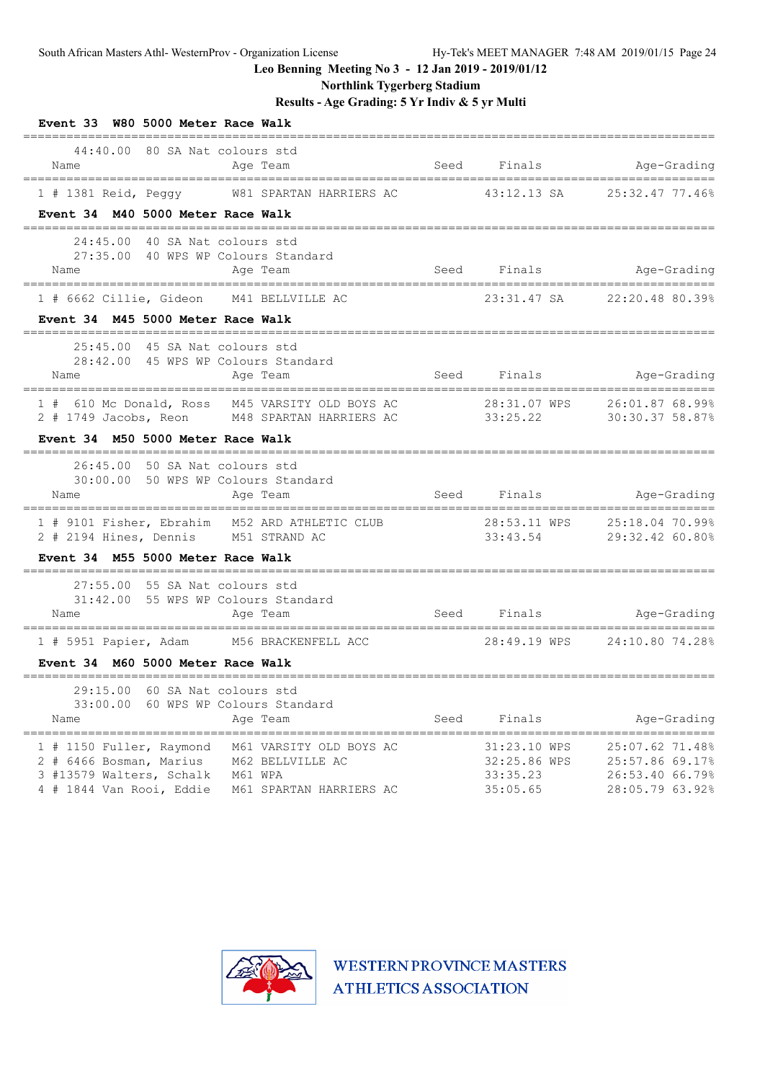**Northlink Tygerberg Stadium**

# **Results - Age Grading: 5 Yr Indiv & 5 yr Multi**

| Event 33 W80 5000 Meter Race Walk                                                                                                                                                                |                       |                                                      |                                                                          |
|--------------------------------------------------------------------------------------------------------------------------------------------------------------------------------------------------|-----------------------|------------------------------------------------------|--------------------------------------------------------------------------|
| 44:40.00 80 SA Nat colours std<br>Name<br>Age Team                                                                                                                                               |                       | Seed Finals                                          | Age-Grading                                                              |
| 1 # 1381 Reid, Peggy W81 SPARTAN HARRIERS AC<br>Event 34 M40 5000 Meter Race Walk                                                                                                                |                       | 43:12.13 SA                                          | 25:32.47 77.46%                                                          |
| 24:45.00 40 SA Nat colours std<br>27:35.00 40 WPS WP Colours Standard<br>Age Team<br>Name                                                                                                        |                       |                                                      | Seed Finals Mge-Grading                                                  |
| 1 # 6662 Cillie, Gideon M41 BELLVILLE AC<br>Event 34 M45 5000 Meter Race Walk                                                                                                                    |                       | 23:31.47 SA                                          | 22:20.48 80.39%                                                          |
| 25:45.00 45 SA Nat colours std<br>28:42.00 45 WPS WP Colours Standard<br>Age Team<br>Name                                                                                                        |                       |                                                      | Seed Finals Mge-Grading                                                  |
| 1 # 610 Mc Donald, Ross M45 VARSITY OLD BOYS AC 28:31.07 WPS 26:01.87 68.99%<br>2 # 1749 Jacobs, Reon M48 SPARTAN HARRIERS AC 33:25.22<br>Event 34 M50 5000 Meter Race Walk                      |                       |                                                      | 30:30.3758.87%                                                           |
| 26:45.00 50 SA Nat colours std<br>30:00.00 50 WPS WP Colours Standard<br>Name<br>Age Team                                                                                                        |                       |                                                      | Seed Finals Age-Grading                                                  |
| ==================<br>1 # 9101 Fisher, Ebrahim M52 ARD ATHLETIC CLUB<br>2 # 2194 Hines, Dennis M51 STRAND AC<br>Event 34 M55 5000 Meter Race Walk                                                | ===================== | 33:43.54                                             | --------------------<br>29:32.42 60.80%                                  |
| 27:55.00 55 SA Nat colours std<br>31:42.00 55 WPS WP Colours Standard<br>Name<br>Age Team<br>______________________________                                                                      |                       | ,,,,,,,,,,,,,,,,,,,,,,,,,,,,,,,,,,,                  | Seed Finals Age-Grading<br>==============                                |
| 1 # 5951 Papier, Adam M56 BRACKENFELL ACC<br>Event 34 M60 5000 Meter Race Walk                                                                                                                   |                       |                                                      | 28:49.19 WPS 24:10.80 74.28%                                             |
| 29:15.00 60 SA Nat colours std<br>60 WPS WP Colours Standard<br>33:00.00<br>Age Team<br>Name                                                                                                     | Seed                  | Finals                                               | Age-Grading                                                              |
| 1 # 1150 Fuller, Raymond<br>M61 VARSITY OLD BOYS AC<br>2 # 6466 Bosman, Marius<br>M62 BELLVILLE AC<br>3 #13579 Walters, Schalk<br>M61 WPA<br>4 # 1844 Van Rooi, Eddie<br>M61 SPARTAN HARRIERS AC |                       | 31:23.10 WPS<br>32:25.86 WPS<br>33:35.23<br>35:05.65 | 25:07.62 71.48%<br>25:57.86 69.17%<br>26:53.40 66.79%<br>28:05.79 63.92% |

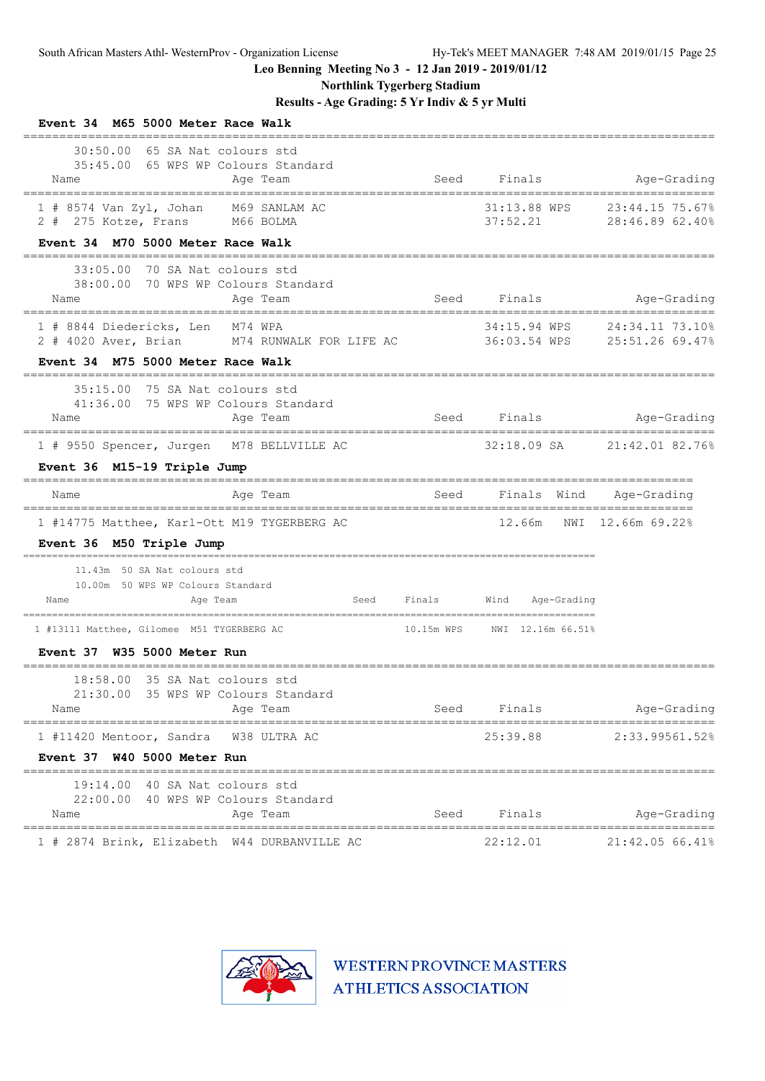**Northlink Tygerberg Stadium**

**Results - Age Grading: 5 Yr Indiv & 5 yr Multi**

| Event 34 M65 5000 Meter Race Walk                                                                                         |             |                                       |                                                 |
|---------------------------------------------------------------------------------------------------------------------------|-------------|---------------------------------------|-------------------------------------------------|
| 65 SA Nat colours std<br>30:50.00<br>35:45.00 65 WPS WP Colours Standard<br>Age Team<br>Name                              |             | Seed Finals                           | Age-Grading                                     |
| $1$ # 8574 Van Zyl, Johan<br>M69 SANLAM AC<br>2 # 275 Kotze, Frans M66 BOLMA<br>Event 34 M70 5000 Meter Race Walk         |             | 31:13.88 WPS<br>37:52.21              | 23:44.15 75.67%<br>28:46.89 62.40%              |
| 70 SA Nat colours std<br>33:05.00<br>38:00.00 70 WPS WP Colours Standard<br>Age Team<br>Name<br>========================= | Seed        | Finals<br>--------------------------- | Age-Grading<br>============                     |
| 1 # 8844 Diedericks, Len M74 WPA<br>M74 RUNWALK FOR LIFE AC<br>2 # 4020 Aver, Brian<br>Event 34 M75 5000 Meter Race Walk  |             | 34:15.94 WPS                          | 24:34.11 73.10%<br>36:03.54 WPS 25:51.26 69.47% |
| 35:15.00 75 SA Nat colours std<br>41:36.00 75 WPS WP Colours Standard<br>Age Team<br>Name                                 | Seed        | Finals                                | Age-Grading<br>-----------------------          |
| 1 # 9550 Spencer, Jurgen M78 BELLVILLE AC                                                                                 |             | 32:18.09 SA                           | 21:42.01 82.76%                                 |
| Event 36 M15-19 Triple Jump                                                                                               |             |                                       |                                                 |
| Age Team<br>Name                                                                                                          | Seed        | Finals Wind                           | Age-Grading                                     |
| 1 #14775 Matthee, Karl-Ott M19 TYGERBERG AC<br>Event 36 M50 Triple Jump                                                   |             | 12.66m<br>NWI                         | 12.66m 69.22%                                   |
| 11.43m 50 SA Nat colours std<br>10.00m 50 WPS WP Colours Standard<br>Age Team<br>Name                                     | Seed Finals | Wind<br>Age-Grading                   |                                                 |
| 1 #13111 Matthee, Gilomee M51 TYGERBERG AC                                                                                | 10.15m WPS  | NWI 12.16m 66.51%                     |                                                 |
| Event 37 W35 5000 Meter Run                                                                                               |             |                                       |                                                 |
| 18:58.00 35 SA Nat colours std<br>21:30.00<br>35 WPS WP Colours Standard<br>Name<br>Age Team                              | Seed        | Finals                                | Age-Grading                                     |
| 1 #11420 Mentoor, Sandra<br>W38 ULTRA AC<br>Event 37 W40 5000 Meter Run                                                   |             | 25:39.88                              | 2:33.99561.52%                                  |
| 19:14.00<br>40 SA Nat colours std<br>22:00.00 40 WPS WP Colours Standard<br>Age Team<br>Name                              | Seed        | Finals                                | Age-Grading                                     |
| 1 # 2874 Brink, Elizabeth W44 DURBANVILLE AC                                                                              |             | 22:12.01                              | 21:42.05 66.41%                                 |

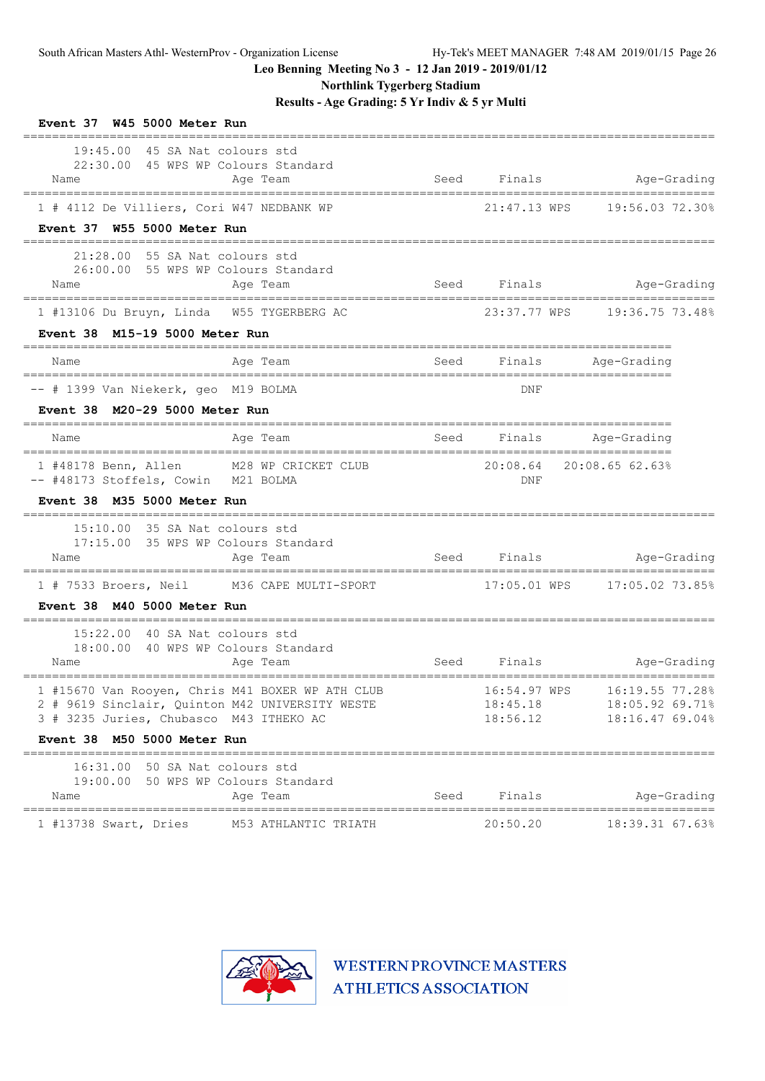**Northlink Tygerberg Stadium**

**Results - Age Grading: 5 Yr Indiv & 5 yr Multi**

|                                                |             |      | Event 37 W45 5000 Meter Run                                                               |
|------------------------------------------------|-------------|------|-------------------------------------------------------------------------------------------|
| Finals Age-Grading<br>________________________ |             | Seed | 19:45.00 45 SA Nat colours std<br>22:30.00 45 WPS WP Colours Standard<br>Age Team<br>Name |
| 21:47.13 WPS 19:56.03 72.30%                   |             |      | 1 # 4112 De Villiers, Cori W47 NEDBANK WP                                                 |
|                                                |             |      | Event 37 W55 5000 Meter Run                                                               |
| Seed Finals Age-Grading                        |             |      | 21:28.00 55 SA Nat colours std<br>26:00.00 55 WPS WP Colours Standard<br>Age Team<br>Name |
| 23:37.77 WPS 19:36.75 73.48%                   |             |      | 1 #13106 Du Bruyn, Linda W55 TYGERBERG AC                                                 |
|                                                |             |      | Event 38 M15-19 5000 Meter Run                                                            |
| Seed Finals Age-Grading                        |             |      | Age Team<br>Name                                                                          |
|                                                | DNF         |      | -- # 1399 Van Niekerk, geo M19 BOLMA                                                      |
| ----------------------                         |             |      | Event 38 M20-29 5000 Meter Run                                                            |
| Finals Age-Grading                             |             | Seed | Age Team<br>Name                                                                          |
| 20:08.64 20:08.65 62.63%                       |             |      | M28 WP CRICKET CLUB<br>1 #48178 Benn, Allen                                               |
|                                                | DNF         |      | -- #48173 Stoffels, Cowin M21 BOLMA<br>Event 38 M35 5000 Meter Run                        |
|                                                |             |      |                                                                                           |
|                                                |             |      | 15:10.00 35 SA Nat colours std<br>17:15.00 35 WPS WP Colours Standard                     |
| Age-Grading                                    | Seed Finals |      | Age Team<br>Name                                                                          |
|                                                |             |      | 1 # 7533 Broers, Neil M36 CAPE MULTI-SPORT                                                |
|                                                |             |      | Event 38 M40 5000 Meter Run                                                               |
|                                                |             |      | 15:22.00 40 SA Nat colours std                                                            |
| Seed Finals Age-Grading                        |             |      | 18:00.00 40 WPS WP Colours Standard<br>Age Team<br>Name                                   |
|                                                |             |      | 1 #15670 Van Rooyen, Chris M41 BOXER WP ATH CLUB 16:54.97 WPS 16:19.55 77.28%             |
| 18:05.92 69.71%                                | 18:45.18    |      | 2 # 9619 Sinclair, Quinton M42 UNIVERSITY WESTE                                           |
| 18:16.47 69.04%                                | 18:56.12    |      | 3 # 3235 Juries, Chubasco M43 ITHEKO AC                                                   |
|                                                |             |      | Event 38 M50 5000 Meter Run                                                               |
|                                                |             |      | 16:31.00 50 SA Nat colours std<br>19:00.00 50 WPS WP Colours Standard                     |
| Age-Grading                                    | Finals      | Seed | Age Team<br>Name                                                                          |
| ------------------------<br>18:39.31 67.63%    | 20:50.20    |      | 1 #13738 Swart, Dries M53 ATHLANTIC TRIATH                                                |

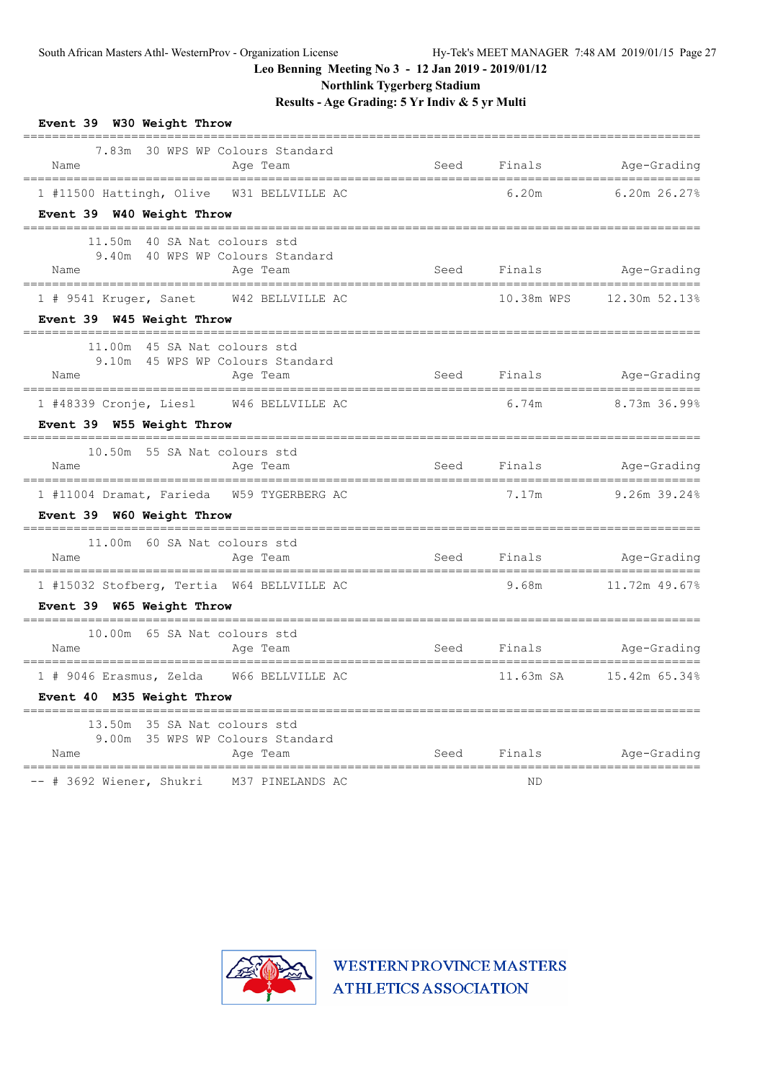**Northlink Tygerberg Stadium**

**Results - Age Grading: 5 Yr Indiv & 5 yr Multi**

| Event 39 W30 Weight Throw                                                                                                                                         |      |                  |                                                       |
|-------------------------------------------------------------------------------------------------------------------------------------------------------------------|------|------------------|-------------------------------------------------------|
| 7.83m 30 WPS WP Colours Standard<br>Name<br>Age Team                                                                                                              | Seed | Finals           | Age-Grading                                           |
| 1 #11500 Hattingh, Olive W31 BELLVILLE AC                                                                                                                         |      | 6.20m            | $6.20m$ 26.27%                                        |
| Event 39 W40 Weight Throw                                                                                                                                         |      |                  | =============                                         |
| 11.50m 40 SA Nat colours std<br>9.40m 40 WPS WP Colours Standard<br>Name<br>Age Team<br>------------------------------------<br>--------------------------------- |      |                  | Seed Finals Mage-Grading<br>------------------------- |
| 1 # 9541 Kruger, Sanet W42 BELLVILLE AC                                                                                                                           |      | 10.38m WPS       | 12.30m 52.13%                                         |
| Event 39 W45 Weight Throw<br>----------____________________________                                                                                               |      |                  |                                                       |
| 11.00m 45 SA Nat colours std<br>9.10m 45 WPS WP Colours Standard<br>Name<br>Age Team                                                                              |      | Seed Finals Seed | Age-Grading                                           |
| ==================================<br>1 #48339 Cronje, Liesl W46 BELLVILLE AC                                                                                     |      | 6.74m            | 8.73m 36.99%                                          |
| Event 39 W55 Weight Throw                                                                                                                                         |      |                  |                                                       |
| 10.50m 55 SA Nat colours std<br>Name<br>Age Team                                                                                                                  |      | Seed Finals      | Age-Grading                                           |
| 1 #11004 Dramat, Farieda W59 TYGERBERG AC                                                                                                                         |      | 7.17m            | 9.26m 39.24%                                          |
| Event 39 W60 Weight Throw                                                                                                                                         |      |                  |                                                       |
| 11.00m 60 SA Nat colours std<br>Name<br>Age Team                                                                                                                  |      |                  | Seed Finals Age-Grading                               |
| =====================================<br>1 #15032 Stofberg, Tertia W64 BELLVILLE AC                                                                               |      | 9.68m            | 11.72m 49.67%                                         |
| Event 39 W65 Weight Throw                                                                                                                                         |      |                  |                                                       |
| 10.00m 65 SA Nat colours std<br>Age Team<br>Name                                                                                                                  |      |                  | Seed Finals Mge-Grading                               |
| 1 # 9046 Erasmus, Zelda W66 BELLVILLE AC                                                                                                                          |      | 11.63m SA        | 15.42m 65.34%                                         |
| Event 40 M35 Weight Throw                                                                                                                                         |      |                  |                                                       |
| 13.50m 35 SA Nat colours std<br>9.00m 35 WPS WP Colours Standard<br>Name<br>Age Team                                                                              | Seed | Finals           | Age-Grading                                           |
| -- # 3692 Wiener, Shukri<br>M37 PINELANDS AC                                                                                                                      |      | ND               |                                                       |